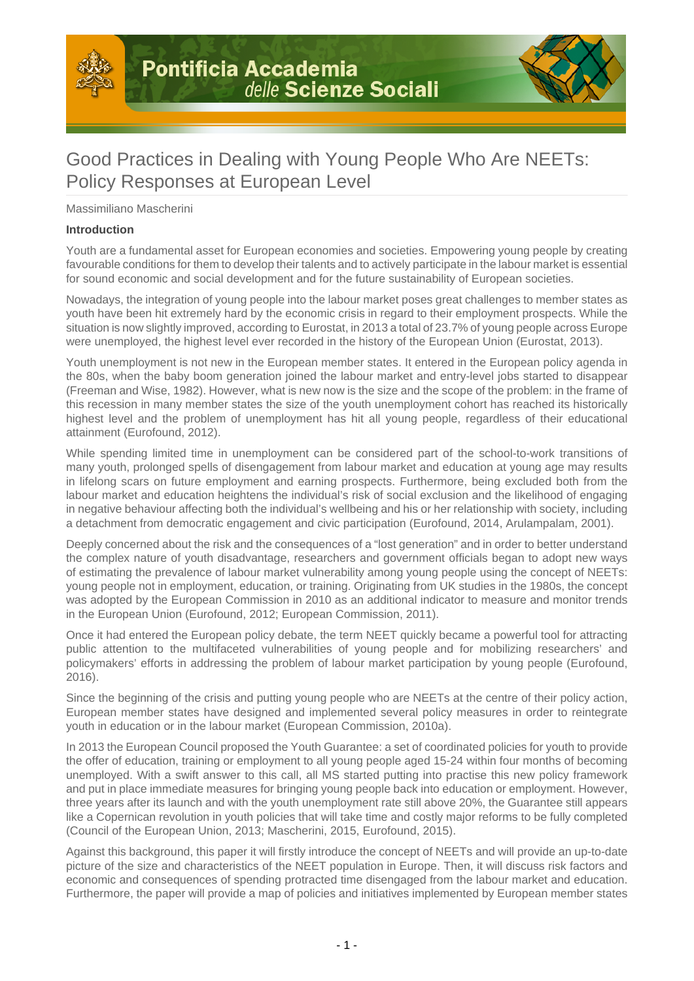



# Good Practices in Dealing with Young People Who Are NEETs: Policy Responses at European Level

Massimiliano Mascherini

#### **Introduction**

Youth are a fundamental asset for European economies and societies. Empowering young people by creating favourable conditions for them to develop their talents and to actively participate in the labour market is essential for sound economic and social development and for the future sustainability of European societies.

Nowadays, the integration of young people into the labour market poses great challenges to member states as youth have been hit extremely hard by the economic crisis in regard to their employment prospects. While the situation is now slightly improved, according to Eurostat, in 2013 a total of 23.7% of young people across Europe were unemployed, the highest level ever recorded in the history of the European Union (Eurostat, 2013).

Youth unemployment is not new in the European member states. It entered in the European policy agenda in the 80s, when the baby boom generation joined the labour market and entry-level jobs started to disappear (Freeman and Wise, 1982). However, what is new now is the size and the scope of the problem: in the frame of this recession in many member states the size of the youth unemployment cohort has reached its historically highest level and the problem of unemployment has hit all young people, regardless of their educational attainment (Eurofound, 2012).

While spending limited time in unemployment can be considered part of the school-to-work transitions of many youth, prolonged spells of disengagement from labour market and education at young age may results in lifelong scars on future employment and earning prospects. Furthermore, being excluded both from the labour market and education heightens the individual's risk of social exclusion and the likelihood of engaging in negative behaviour affecting both the individual's wellbeing and his or her relationship with society, including a detachment from democratic engagement and civic participation (Eurofound, 2014, Arulampalam, 2001).

Deeply concerned about the risk and the consequences of a "lost generation" and in order to better understand the complex nature of youth disadvantage, researchers and government officials began to adopt new ways of estimating the prevalence of labour market vulnerability among young people using the concept of NEETs: young people not in employment, education, or training. Originating from UK studies in the 1980s, the concept was adopted by the European Commission in 2010 as an additional indicator to measure and monitor trends in the European Union (Eurofound, 2012; European Commission, 2011).

Once it had entered the European policy debate, the term NEET quickly became a powerful tool for attracting public attention to the multifaceted vulnerabilities of young people and for mobilizing researchers' and policymakers' efforts in addressing the problem of labour market participation by young people (Eurofound, 2016).

Since the beginning of the crisis and putting young people who are NEETs at the centre of their policy action, European member states have designed and implemented several policy measures in order to reintegrate youth in education or in the labour market (European Commission, 2010a).

In 2013 the European Council proposed the Youth Guarantee: a set of coordinated policies for youth to provide the offer of education, training or employment to all young people aged 15-24 within four months of becoming unemployed. With a swift answer to this call, all MS started putting into practise this new policy framework and put in place immediate measures for bringing young people back into education or employment. However, three years after its launch and with the youth unemployment rate still above 20%, the Guarantee still appears like a Copernican revolution in youth policies that will take time and costly major reforms to be fully completed (Council of the European Union, 2013; Mascherini, 2015, Eurofound, 2015).

Against this background, this paper it will firstly introduce the concept of NEETs and will provide an up-to-date picture of the size and characteristics of the NEET population in Europe. Then, it will discuss risk factors and economic and consequences of spending protracted time disengaged from the labour market and education. Furthermore, the paper will provide a map of policies and initiatives implemented by European member states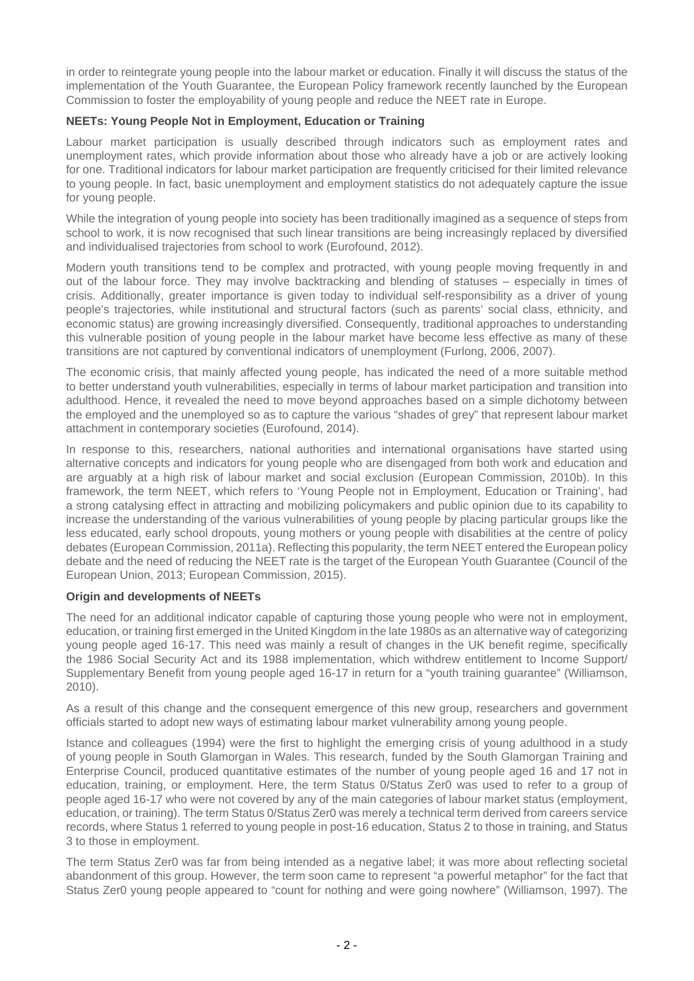in order to reintegrate young people into the labour market or education. Finally it will discuss the status of the implementation of the Youth Guarantee, the European Policy framework recently launched by the European Commission to foster the employability of young people and reduce the NEET rate in Europe.

# **NEETs: Young People Not in Employment, Education or Training**

Labour market participation is usually described through indicators such as employment rates and unemployment rates, which provide information about those who already have a job or are actively looking for one. Traditional indicators for labour market participation are frequently criticised for their limited relevance to young people. In fact, basic unemployment and employment statistics do not adequately capture the issue for young people.

While the integration of young people into society has been traditionally imagined as a sequence of steps from school to work, it is now recognised that such linear transitions are being increasingly replaced by diversified and individualised trajectories from school to work (Eurofound, 2012).

Modern youth transitions tend to be complex and protracted, with young people moving frequently in and out of the labour force. They may involve backtracking and blending of statuses – especially in times of crisis. Additionally, greater importance is given today to individual self-responsibility as a driver of young people's trajectories, while institutional and structural factors (such as parents' social class, ethnicity, and economic status) are growing increasingly diversified. Consequently, traditional approaches to understanding this vulnerable position of young people in the labour market have become less effective as many of these transitions are not captured by conventional indicators of unemployment (Furlong, 2006, 2007).

The economic crisis, that mainly affected young people, has indicated the need of a more suitable method to better understand youth vulnerabilities, especially in terms of labour market participation and transition into adulthood. Hence, it revealed the need to move beyond approaches based on a simple dichotomy between the employed and the unemployed so as to capture the various "shades of grey" that represent labour market attachment in contemporary societies (Eurofound, 2014).

In response to this, researchers, national authorities and international organisations have started using alternative concepts and indicators for young people who are disengaged from both work and education and are arguably at a high risk of labour market and social exclusion (European Commission, 2010b). In this framework, the term NEET, which refers to 'Young People not in Employment, Education or Training', had a strong catalysing effect in attracting and mobilizing policymakers and public opinion due to its capability to increase the understanding of the various vulnerabilities of young people by placing particular groups like the less educated, early school dropouts, young mothers or young people with disabilities at the centre of policy debates (European Commission, 2011a). Reflecting this popularity, the term NEET entered the European policy debate and the need of reducing the NEET rate is the target of the European Youth Guarantee (Council of the European Union, 2013; European Commission, 2015).

#### **Origin and developments of NEETs**

The need for an additional indicator capable of capturing those young people who were not in employment, education, or training first emerged in the United Kingdom in the late 1980s as an alternative way of categorizing young people aged 16-17. This need was mainly a result of changes in the UK benefit regime, specifically the 1986 Social Security Act and its 1988 implementation, which withdrew entitlement to Income Support/ Supplementary Benefit from young people aged 16-17 in return for a "youth training guarantee" (Williamson, 2010).

As a result of this change and the consequent emergence of this new group, researchers and government officials started to adopt new ways of estimating labour market vulnerability among young people.

Istance and colleagues (1994) were the first to highlight the emerging crisis of young adulthood in a study of young people in South Glamorgan in Wales. This research, funded by the South Glamorgan Training and Enterprise Council, produced quantitative estimates of the number of young people aged 16 and 17 not in education, training, or employment. Here, the term Status 0/Status Zer0 was used to refer to a group of people aged 16-17 who were not covered by any of the main categories of labour market status (employment, education, or training). The term Status 0/Status Zer0 was merely a technical term derived from careers service records, where Status 1 referred to young people in post-16 education, Status 2 to those in training, and Status 3 to those in employment.

The term Status Zer0 was far from being intended as a negative label; it was more about reflecting societal abandonment of this group. However, the term soon came to represent "a powerful metaphor" for the fact that Status Zer0 young people appeared to "count for nothing and were going nowhere" (Williamson, 1997). The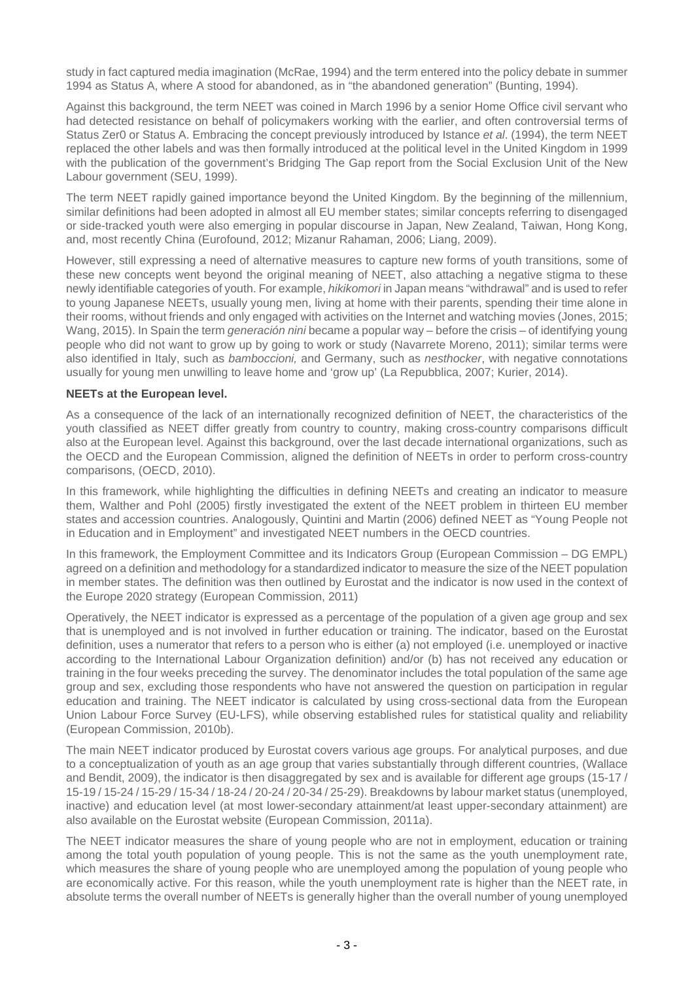study in fact captured media imagination (McRae, 1994) and the term entered into the policy debate in summer 1994 as Status A, where A stood for abandoned, as in "the abandoned generation" (Bunting, 1994).

Against this background, the term NEET was coined in March 1996 by a senior Home Office civil servant who had detected resistance on behalf of policymakers working with the earlier, and often controversial terms of Status Zer0 or Status A. Embracing the concept previously introduced by Istance et al. (1994), the term NEET replaced the other labels and was then formally introduced at the political level in the United Kingdom in 1999 with the publication of the government's Bridging The Gap report from the Social Exclusion Unit of the New Labour government (SEU, 1999).

The term NEET rapidly gained importance beyond the United Kingdom. By the beginning of the millennium, similar definitions had been adopted in almost all EU member states; similar concepts referring to disengaged or side-tracked youth were also emerging in popular discourse in Japan, New Zealand, Taiwan, Hong Kong, and, most recently China (Eurofound, 2012; Mizanur Rahaman, 2006; Liang, 2009).

However, still expressing a need of alternative measures to capture new forms of youth transitions, some of these new concepts went beyond the original meaning of NEET, also attaching a negative stigma to these newly identifiable categories of youth. For example, hikikomori in Japan means "withdrawal" and is used to refer to young Japanese NEETs, usually young men, living at home with their parents, spending their time alone in their rooms, without friends and only engaged with activities on the Internet and watching movies (Jones, 2015; Wang, 2015). In Spain the term *generación nini* became a popular way – before the crisis – of identifying young people who did not want to grow up by going to work or study (Navarrete Moreno, 2011); similar terms were also identified in Italy, such as bamboccioni, and Germany, such as nesthocker, with negative connotations usually for young men unwilling to leave home and 'grow up' (La Repubblica, 2007; Kurier, 2014).

#### **NEETs at the European level.**

As a consequence of the lack of an internationally recognized definition of NEET, the characteristics of the youth classified as NEET differ greatly from country to country, making cross-country comparisons difficult also at the European level. Against this background, over the last decade international organizations, such as the OECD and the European Commission, aligned the definition of NEETs in order to perform cross-country comparisons, (OECD, 2010).

In this framework, while highlighting the difficulties in defining NEETs and creating an indicator to measure them, Walther and Pohl (2005) firstly investigated the extent of the NEET problem in thirteen EU member states and accession countries. Analogously, Quintini and Martin (2006) defined NEET as "Young People not in Education and in Employment" and investigated NEET numbers in the OECD countries.

In this framework, the Employment Committee and its Indicators Group (European Commission – DG EMPL) agreed on a definition and methodology for a standardized indicator to measure the size of the NEET population in member states. The definition was then outlined by Eurostat and the indicator is now used in the context of the Europe 2020 strategy (European Commission, 2011)

Operatively, the NEET indicator is expressed as a percentage of the population of a given age group and sex that is unemployed and is not involved in further education or training. The indicator, based on the Eurostat definition, uses a numerator that refers to a person who is either (a) not employed (i.e. unemployed or inactive according to the International Labour Organization definition) and/or (b) has not received any education or training in the four weeks preceding the survey. The denominator includes the total population of the same age group and sex, excluding those respondents who have not answered the question on participation in regular education and training. The NEET indicator is calculated by using cross-sectional data from the European Union Labour Force Survey (EU-LFS), while observing established rules for statistical quality and reliability (European Commission, 2010b).

The main NEET indicator produced by Eurostat covers various age groups. For analytical purposes, and due to a conceptualization of youth as an age group that varies substantially through different countries, (Wallace and Bendit, 2009), the indicator is then disaggregated by sex and is available for different age groups (15-17) 15-19 / 15-24 / 15-29 / 15-34 / 18-24 / 20-24 / 20-34 / 25-29). Breakdowns by labour market status (unemployed, inactive) and education level (at most lower-secondary attainment/at least upper-secondary attainment) are also available on the Eurostat website (European Commission, 2011a).

The NEET indicator measures the share of young people who are not in employment, education or training among the total youth population of young people. This is not the same as the youth unemployment rate, which measures the share of young people who are unemployed among the population of young people who are economically active. For this reason, while the youth unemployment rate is higher than the NEET rate, in absolute terms the overall number of NEETs is generally higher than the overall number of young unemployed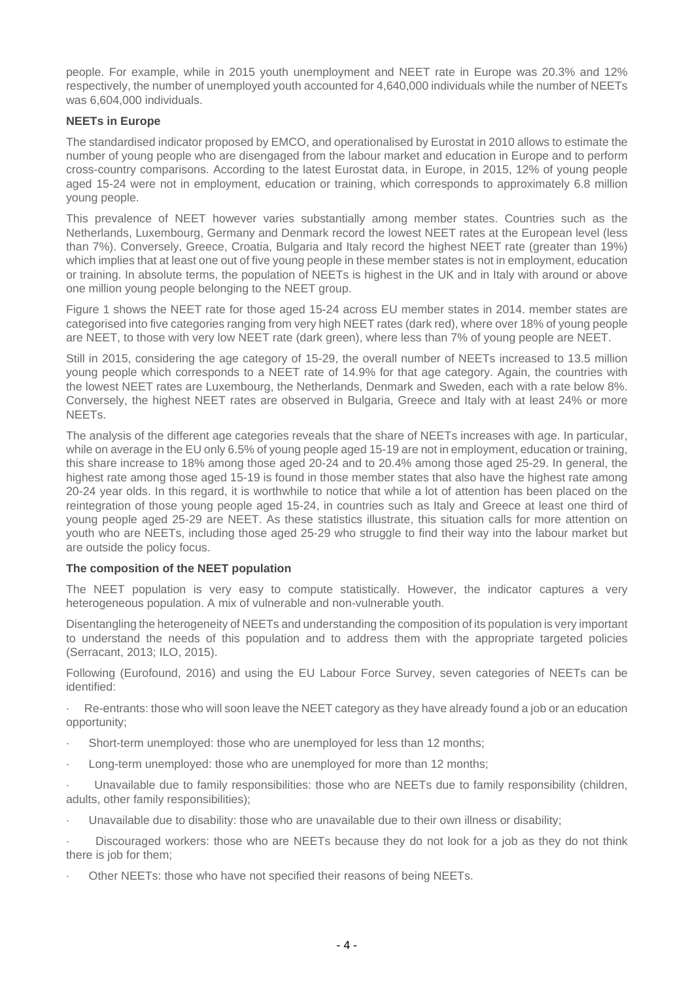people. For example, while in 2015 youth unemployment and NEET rate in Europe was 20.3% and 12% respectively, the number of unemployed youth accounted for 4,640,000 individuals while the number of NEETs was 6,604,000 individuals.

# **NEETs in Europe**

The standardised indicator proposed by EMCO, and operationalised by Eurostat in 2010 allows to estimate the number of young people who are disengaged from the labour market and education in Europe and to perform cross-country comparisons. According to the latest Eurostat data, in Europe, in 2015, 12% of young people aged 15-24 were not in employment, education or training, which corresponds to approximately 6.8 million young people.

This prevalence of NEET however varies substantially among member states. Countries such as the Netherlands, Luxembourg, Germany and Denmark record the lowest NEET rates at the European level (less than 7%). Conversely, Greece, Croatia, Bulgaria and Italy record the highest NEET rate (greater than 19%) which implies that at least one out of five young people in these member states is not in employment, education or training. In absolute terms, the population of NEETs is highest in the UK and in Italy with around or above one million young people belonging to the NEET group.

Figure 1 shows the NEET rate for those aged 15-24 across EU member states in 2014. member states are categorised into five categories ranging from very high NEET rates (dark red), where over 18% of young people are NEET, to those with very low NEET rate (dark green), where less than 7% of young people are NEET.

Still in 2015, considering the age category of 15-29, the overall number of NEETs increased to 13.5 million young people which corresponds to a NEET rate of 14.9% for that age category. Again, the countries with the lowest NEET rates are Luxembourg, the Netherlands, Denmark and Sweden, each with a rate below 8%. Conversely, the highest NEET rates are observed in Bulgaria, Greece and Italy with at least 24% or more NEETs.

The analysis of the different age categories reveals that the share of NEETs increases with age. In particular, while on average in the EU only 6.5% of young people aged 15-19 are not in employment, education or training, this share increase to 18% among those aged 20-24 and to 20.4% among those aged 25-29. In general, the highest rate among those aged 15-19 is found in those member states that also have the highest rate among 20-24 year olds. In this regard, it is worthwhile to notice that while a lot of attention has been placed on the reintegration of those young people aged 15-24, in countries such as Italy and Greece at least one third of young people aged 25-29 are NEET. As these statistics illustrate, this situation calls for more attention on youth who are NEETs, including those aged 25-29 who struggle to find their way into the labour market but are outside the policy focus.

### **The composition of the NEET population**

The NEET population is very easy to compute statistically. However, the indicator captures a very heterogeneous population. A mix of vulnerable and non-vulnerable youth.

Disentangling the heterogeneity of NEETs and understanding the composition of its population is very important to understand the needs of this population and to address them with the appropriate targeted policies (Serracant, 2013; ILO, 2015).

Following (Eurofound, 2016) and using the EU Labour Force Survey, seven categories of NEETs can be identified:

· Re-entrants: those who will soon leave the NEET category as they have already found a job or an education opportunity;

- Short-term unemployed: those who are unemployed for less than 12 months:
- Long-term unemployed: those who are unemployed for more than 12 months;

· Unavailable due to family responsibilities: those who are NEETs due to family responsibility (children, adults, other family responsibilities);

Unavailable due to disability: those who are unavailable due to their own illness or disability;

Discouraged workers: those who are NEETs because they do not look for a job as they do not think there is job for them;

Other NEETs: those who have not specified their reasons of being NEETs.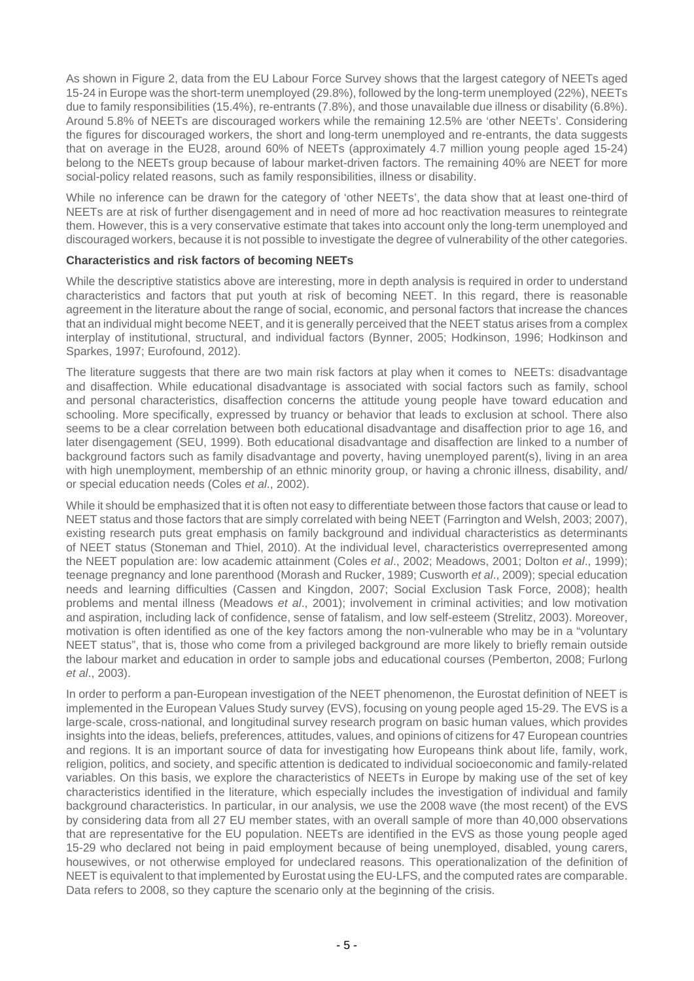As shown in Figure 2, data from the EU Labour Force Survey shows that the largest category of NEETs aged 15-24 in Europe was the short-term unemployed (29.8%), followed by the long-term unemployed (22%), NEETs due to family responsibilities (15.4%), re-entrants (7.8%), and those unavailable due illness or disability (6.8%). Around 5.8% of NEETs are discouraged workers while the remaining 12.5% are 'other NEETs'. Considering the figures for discouraged workers, the short and long-term unemployed and re-entrants, the data suggests that on average in the EU28, around 60% of NEETs (approximately 4.7 million young people aged 15-24) belong to the NEETs group because of labour market-driven factors. The remaining 40% are NEET for more social-policy related reasons, such as family responsibilities, illness or disability.

While no inference can be drawn for the category of 'other NEETs', the data show that at least one-third of NEETs are at risk of further disengagement and in need of more ad hoc reactivation measures to reintegrate them. However, this is a very conservative estimate that takes into account only the long-term unemployed and discouraged workers, because it is not possible to investigate the degree of vulnerability of the other categories.

#### **Characteristics and risk factors of becoming NEETs**

While the descriptive statistics above are interesting, more in depth analysis is required in order to understand characteristics and factors that put youth at risk of becoming NEET. In this regard, there is reasonable agreement in the literature about the range of social, economic, and personal factors that increase the chances that an individual might become NEET, and it is generally perceived that the NEET status arises from a complex interplay of institutional, structural, and individual factors (Bynner, 2005; Hodkinson, 1996; Hodkinson and Sparkes, 1997; Eurofound, 2012).

The literature suggests that there are two main risk factors at play when it comes to NEETs: disadvantage and disaffection. While educational disadvantage is associated with social factors such as family, school and personal characteristics, disaffection concerns the attitude young people have toward education and schooling. More specifically, expressed by truancy or behavior that leads to exclusion at school. There also seems to be a clear correlation between both educational disadvantage and disaffection prior to age 16, and later disengagement (SEU, 1999). Both educational disadvantage and disaffection are linked to a number of background factors such as family disadvantage and poverty, having unemployed parent(s), living in an area with high unemployment, membership of an ethnic minority group, or having a chronic illness, disability, and/ or special education needs (Coles et al., 2002).

While it should be emphasized that it is often not easy to differentiate between those factors that cause or lead to NEET status and those factors that are simply correlated with being NEET (Farrington and Welsh, 2003; 2007), existing research puts great emphasis on family background and individual characteristics as determinants of NEET status (Stoneman and Thiel, 2010). At the individual level, characteristics overrepresented among the NEET population are: low academic attainment (Coles et al., 2002; Meadows, 2001; Dolton et al., 1999); teenage pregnancy and lone parenthood (Morash and Rucker, 1989; Cusworth et al., 2009); special education needs and learning difficulties (Cassen and Kingdon, 2007; Social Exclusion Task Force, 2008); health problems and mental illness (Meadows et al., 2001); involvement in criminal activities; and low motivation and aspiration, including lack of confidence, sense of fatalism, and low self-esteem (Strelitz, 2003). Moreover, motivation is often identified as one of the key factors among the non-vulnerable who may be in a "voluntary NEET status", that is, those who come from a privileged background are more likely to briefly remain outside the labour market and education in order to sample jobs and educational courses (Pemberton, 2008; Furlong et al., 2003).

In order to perform a pan-European investigation of the NEET phenomenon, the Eurostat definition of NEET is implemented in the European Values Study survey (EVS), focusing on young people aged 15-29. The EVS is a large-scale, cross-national, and longitudinal survey research program on basic human values, which provides insights into the ideas, beliefs, preferences, attitudes, values, and opinions of citizens for 47 European countries and regions. It is an important source of data for investigating how Europeans think about life, family, work, religion, politics, and society, and specific attention is dedicated to individual socioeconomic and family-related variables. On this basis, we explore the characteristics of NEETs in Europe by making use of the set of key characteristics identified in the literature, which especially includes the investigation of individual and family background characteristics. In particular, in our analysis, we use the 2008 wave (the most recent) of the EVS by considering data from all 27 EU member states, with an overall sample of more than 40,000 observations that are representative for the EU population. NEETs are identified in the EVS as those young people aged 15-29 who declared not being in paid employment because of being unemployed, disabled, young carers, housewives, or not otherwise employed for undeclared reasons. This operationalization of the definition of NEET is equivalent to that implemented by Eurostat using the EU-LFS, and the computed rates are comparable. Data refers to 2008, so they capture the scenario only at the beginning of the crisis.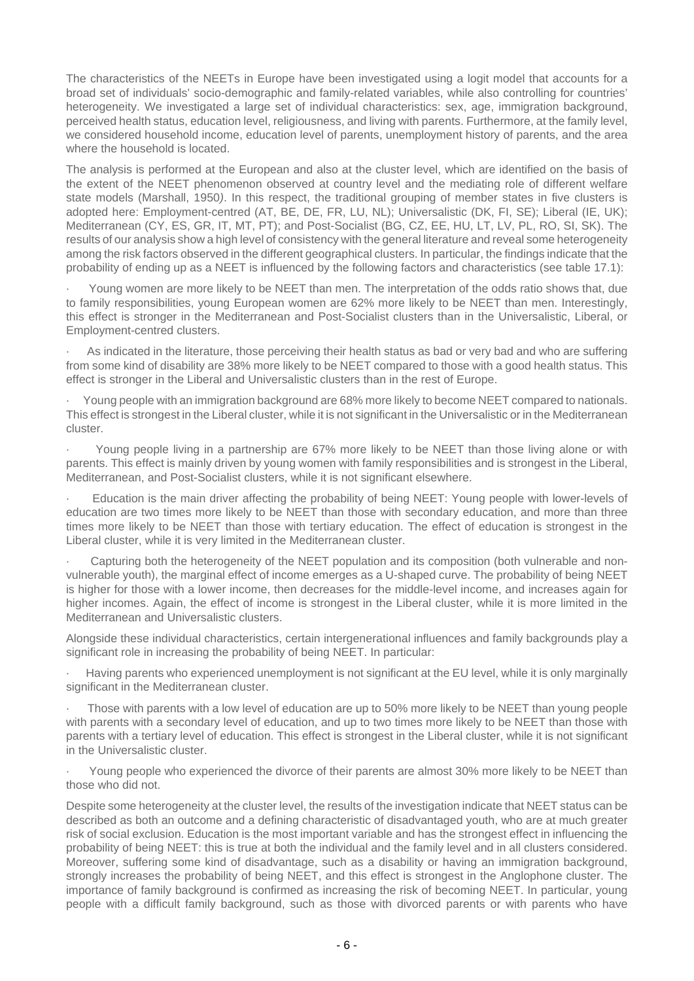The characteristics of the NEETs in Europe have been investigated using a logit model that accounts for a broad set of individuals' socio-demographic and family-related variables, while also controlling for countries' heterogeneity. We investigated a large set of individual characteristics: sex, age, immigration background, perceived health status, education level, religiousness, and living with parents. Furthermore, at the family level, we considered household income, education level of parents, unemployment history of parents, and the area where the household is located.

The analysis is performed at the European and also at the cluster level, which are identified on the basis of the extent of the NEET phenomenon observed at country level and the mediating role of different welfare state models (Marshall, 1950). In this respect, the traditional grouping of member states in five clusters is adopted here: Employment-centred (AT, BE, DE, FR, LU, NL); Universalistic (DK, FI, SE); Liberal (IE, UK); Mediterranean (CY, ES, GR, IT, MT, PT); and Post-Socialist (BG, CZ, EE, HU, LT, LV, PL, RO, SI, SK). The results of our analysis show a high level of consistency with the general literature and reveal some heterogeneity among the risk factors observed in the different geographical clusters. In particular, the findings indicate that the probability of ending up as a NEET is influenced by the following factors and characteristics (see table 17.1):

· Young women are more likely to be NEET than men. The interpretation of the odds ratio shows that, due to family responsibilities, young European women are 62% more likely to be NEET than men. Interestingly, this effect is stronger in the Mediterranean and Post-Socialist clusters than in the Universalistic, Liberal, or Employment-centred clusters.

As indicated in the literature, those perceiving their health status as bad or very bad and who are suffering from some kind of disability are 38% more likely to be NEET compared to those with a good health status. This effect is stronger in the Liberal and Universalistic clusters than in the rest of Europe.

· Young people with an immigration background are 68% more likely to become NEET compared to nationals. This effect is strongest in the Liberal cluster, while it is not significant in the Universalistic or in the Mediterranean cluster.

· Young people living in a partnership are 67% more likely to be NEET than those living alone or with parents. This effect is mainly driven by young women with family responsibilities and is strongest in the Liberal, Mediterranean, and Post-Socialist clusters, while it is not significant elsewhere.

Education is the main driver affecting the probability of being NEET: Young people with lower-levels of education are two times more likely to be NEET than those with secondary education, and more than three times more likely to be NEET than those with tertiary education. The effect of education is strongest in the Liberal cluster, while it is very limited in the Mediterranean cluster.

Capturing both the heterogeneity of the NEET population and its composition (both vulnerable and nonvulnerable youth), the marginal effect of income emerges as a U-shaped curve. The probability of being NEET is higher for those with a lower income, then decreases for the middle-level income, and increases again for higher incomes. Again, the effect of income is strongest in the Liberal cluster, while it is more limited in the Mediterranean and Universalistic clusters.

Alongside these individual characteristics, certain intergenerational influences and family backgrounds play a significant role in increasing the probability of being NEET. In particular:

· Having parents who experienced unemployment is not significant at the EU level, while it is only marginally significant in the Mediterranean cluster.

Those with parents with a low level of education are up to 50% more likely to be NEET than young people with parents with a secondary level of education, and up to two times more likely to be NEET than those with parents with a tertiary level of education. This effect is strongest in the Liberal cluster, while it is not significant in the Universalistic cluster.

Young people who experienced the divorce of their parents are almost 30% more likely to be NEET than those who did not.

Despite some heterogeneity at the cluster level, the results of the investigation indicate that NEET status can be described as both an outcome and a defining characteristic of disadvantaged youth, who are at much greater risk of social exclusion. Education is the most important variable and has the strongest effect in influencing the probability of being NEET: this is true at both the individual and the family level and in all clusters considered. Moreover, suffering some kind of disadvantage, such as a disability or having an immigration background, strongly increases the probability of being NEET, and this effect is strongest in the Anglophone cluster. The importance of family background is confirmed as increasing the risk of becoming NEET. In particular, young people with a difficult family background, such as those with divorced parents or with parents who have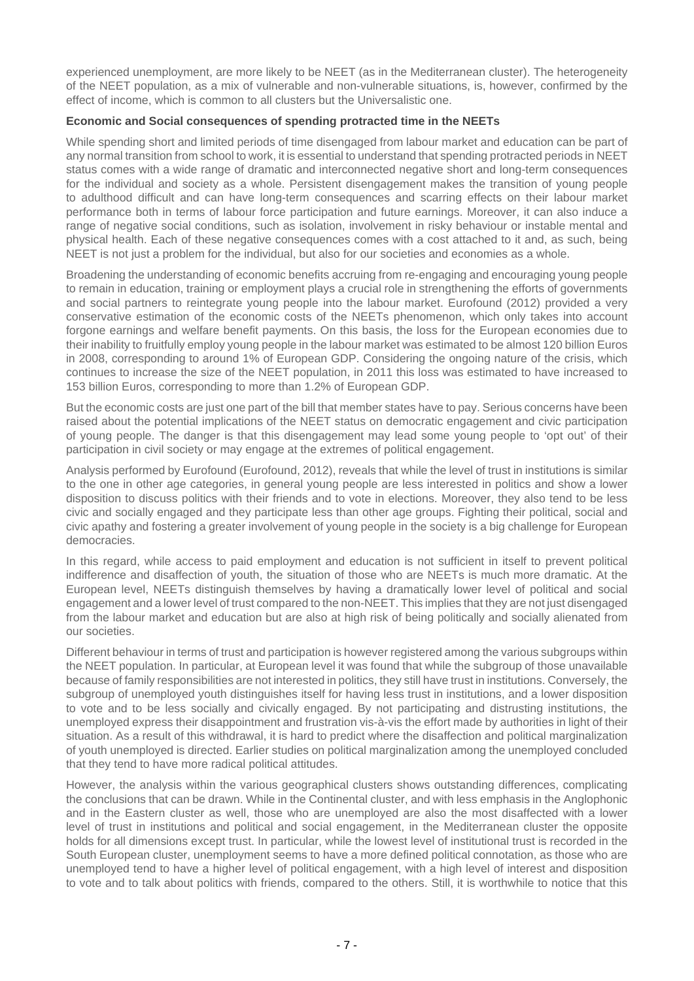experienced unemployment, are more likely to be NEET (as in the Mediterranean cluster). The heterogeneity of the NEET population, as a mix of vulnerable and non-vulnerable situations, is, however, confirmed by the effect of income, which is common to all clusters but the Universalistic one.

## **Economic and Social consequences of spending protracted time in the NEETs**

While spending short and limited periods of time disengaged from labour market and education can be part of any normal transition from school to work, it is essential to understand that spending protracted periods in NEET status comes with a wide range of dramatic and interconnected negative short and long-term consequences for the individual and society as a whole. Persistent disengagement makes the transition of young people to adulthood difficult and can have long-term consequences and scarring effects on their labour market performance both in terms of labour force participation and future earnings. Moreover, it can also induce a range of negative social conditions, such as isolation, involvement in risky behaviour or instable mental and physical health. Each of these negative consequences comes with a cost attached to it and, as such, being NEET is not just a problem for the individual, but also for our societies and economies as a whole.

Broadening the understanding of economic benefits accruing from re-engaging and encouraging young people to remain in education, training or employment plays a crucial role in strengthening the efforts of governments and social partners to reintegrate young people into the labour market. Eurofound (2012) provided a very conservative estimation of the economic costs of the NEETs phenomenon, which only takes into account forgone earnings and welfare benefit payments. On this basis, the loss for the European economies due to their inability to fruitfully employ young people in the labour market was estimated to be almost 120 billion Euros in 2008, corresponding to around 1% of European GDP. Considering the ongoing nature of the crisis, which continues to increase the size of the NEET population, in 2011 this loss was estimated to have increased to 153 billion Euros, corresponding to more than 1.2% of European GDP.

But the economic costs are just one part of the bill that member states have to pay. Serious concerns have been raised about the potential implications of the NEET status on democratic engagement and civic participation of young people. The danger is that this disengagement may lead some young people to 'opt out' of their participation in civil society or may engage at the extremes of political engagement.

Analysis performed by Eurofound (Eurofound, 2012), reveals that while the level of trust in institutions is similar to the one in other age categories, in general young people are less interested in politics and show a lower disposition to discuss politics with their friends and to vote in elections. Moreover, they also tend to be less civic and socially engaged and they participate less than other age groups. Fighting their political, social and civic apathy and fostering a greater involvement of young people in the society is a big challenge for European democracies.

In this regard, while access to paid employment and education is not sufficient in itself to prevent political indifference and disaffection of youth, the situation of those who are NEETs is much more dramatic. At the European level, NEETs distinguish themselves by having a dramatically lower level of political and social engagement and a lower level of trust compared to the non-NEET. This implies that they are not just disengaged from the labour market and education but are also at high risk of being politically and socially alienated from our societies.

Different behaviour in terms of trust and participation is however registered among the various subgroups within the NEET population. In particular, at European level it was found that while the subgroup of those unavailable because of family responsibilities are not interested in politics, they still have trust in institutions. Conversely, the subgroup of unemployed youth distinguishes itself for having less trust in institutions, and a lower disposition to vote and to be less socially and civically engaged. By not participating and distrusting institutions, the unemployed express their disappointment and frustration vis-à-vis the effort made by authorities in light of their situation. As a result of this withdrawal, it is hard to predict where the disaffection and political marginalization of youth unemployed is directed. Earlier studies on political marginalization among the unemployed concluded that they tend to have more radical political attitudes.

However, the analysis within the various geographical clusters shows outstanding differences, complicating the conclusions that can be drawn. While in the Continental cluster, and with less emphasis in the Anglophonic and in the Eastern cluster as well, those who are unemployed are also the most disaffected with a lower level of trust in institutions and political and social engagement, in the Mediterranean cluster the opposite holds for all dimensions except trust. In particular, while the lowest level of institutional trust is recorded in the South European cluster, unemployment seems to have a more defined political connotation, as those who are unemployed tend to have a higher level of political engagement, with a high level of interest and disposition to vote and to talk about politics with friends, compared to the others. Still, it is worthwhile to notice that this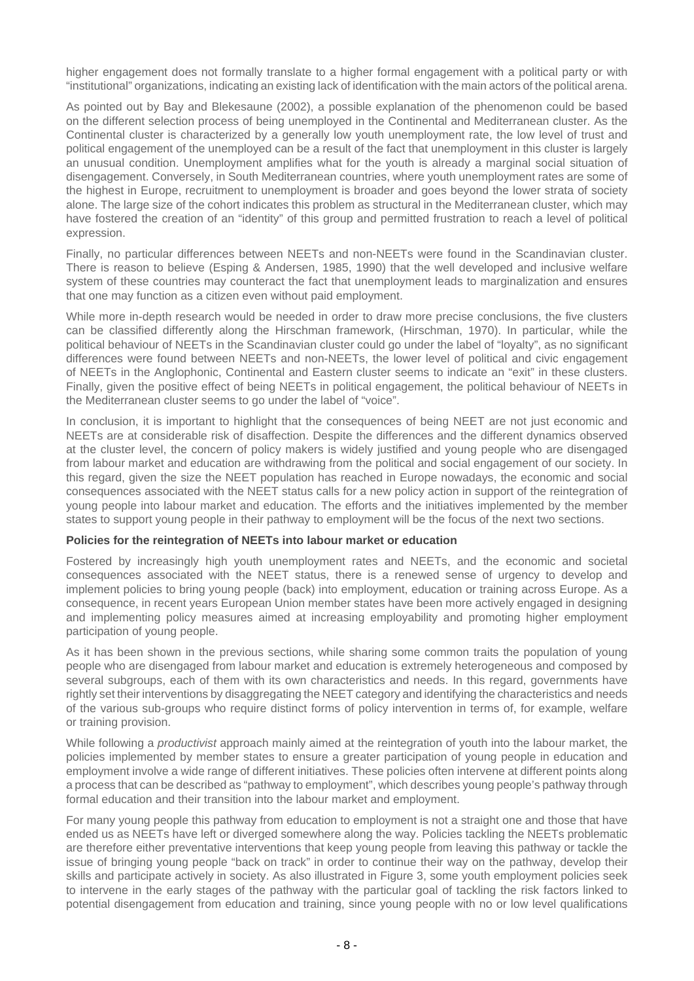higher engagement does not formally translate to a higher formal engagement with a political party or with "institutional" organizations, indicating an existing lack of identification with the main actors of the political arena.

As pointed out by Bay and Blekesaune (2002), a possible explanation of the phenomenon could be based on the different selection process of being unemployed in the Continental and Mediterranean cluster. As the Continental cluster is characterized by a generally low youth unemployment rate, the low level of trust and political engagement of the unemployed can be a result of the fact that unemployment in this cluster is largely an unusual condition. Unemployment amplifies what for the youth is already a marginal social situation of disengagement. Conversely, in South Mediterranean countries, where youth unemployment rates are some of the highest in Europe, recruitment to unemployment is broader and goes beyond the lower strata of society alone. The large size of the cohort indicates this problem as structural in the Mediterranean cluster, which may have fostered the creation of an "identity" of this group and permitted frustration to reach a level of political expression.

Finally, no particular differences between NEETs and non-NEETs were found in the Scandinavian cluster. There is reason to believe (Esping & Andersen, 1985, 1990) that the well developed and inclusive welfare system of these countries may counteract the fact that unemployment leads to marginalization and ensures that one may function as a citizen even without paid employment.

While more in-depth research would be needed in order to draw more precise conclusions, the five clusters can be classified differently along the Hirschman framework, (Hirschman, 1970). In particular, while the political behaviour of NEETs in the Scandinavian cluster could go under the label of "loyalty", as no significant differences were found between NEETs and non-NEETs, the lower level of political and civic engagement of NEETs in the Anglophonic, Continental and Eastern cluster seems to indicate an "exit" in these clusters. Finally, given the positive effect of being NEETs in political engagement, the political behaviour of NEETs in the Mediterranean cluster seems to go under the label of "voice".

In conclusion, it is important to highlight that the consequences of being NEET are not just economic and NEETs are at considerable risk of disaffection. Despite the differences and the different dynamics observed at the cluster level, the concern of policy makers is widely justified and young people who are disengaged from labour market and education are withdrawing from the political and social engagement of our society. In this regard, given the size the NEET population has reached in Europe nowadays, the economic and social consequences associated with the NEET status calls for a new policy action in support of the reintegration of young people into labour market and education. The efforts and the initiatives implemented by the member states to support young people in their pathway to employment will be the focus of the next two sections.

#### **Policies for the reintegration of NEETs into labour market or education**

Fostered by increasingly high youth unemployment rates and NEETs, and the economic and societal consequences associated with the NEET status, there is a renewed sense of urgency to develop and implement policies to bring young people (back) into employment, education or training across Europe. As a consequence, in recent years European Union member states have been more actively engaged in designing and implementing policy measures aimed at increasing employability and promoting higher employment participation of young people.

As it has been shown in the previous sections, while sharing some common traits the population of young people who are disengaged from labour market and education is extremely heterogeneous and composed by several subgroups, each of them with its own characteristics and needs. In this regard, governments have rightly set their interventions by disaggregating the NEET category and identifying the characteristics and needs of the various sub-groups who require distinct forms of policy intervention in terms of, for example, welfare or training provision.

While following a *productivist* approach mainly aimed at the reintegration of youth into the labour market, the policies implemented by member states to ensure a greater participation of young people in education and employment involve a wide range of different initiatives. These policies often intervene at different points along a process that can be described as "pathway to employment", which describes young people's pathway through formal education and their transition into the labour market and employment.

For many young people this pathway from education to employment is not a straight one and those that have ended us as NEETs have left or diverged somewhere along the way. Policies tackling the NEETs problematic are therefore either preventative interventions that keep young people from leaving this pathway or tackle the issue of bringing young people "back on track" in order to continue their way on the pathway, develop their skills and participate actively in society. As also illustrated in Figure 3, some youth employment policies seek to intervene in the early stages of the pathway with the particular goal of tackling the risk factors linked to potential disengagement from education and training, since young people with no or low level qualifications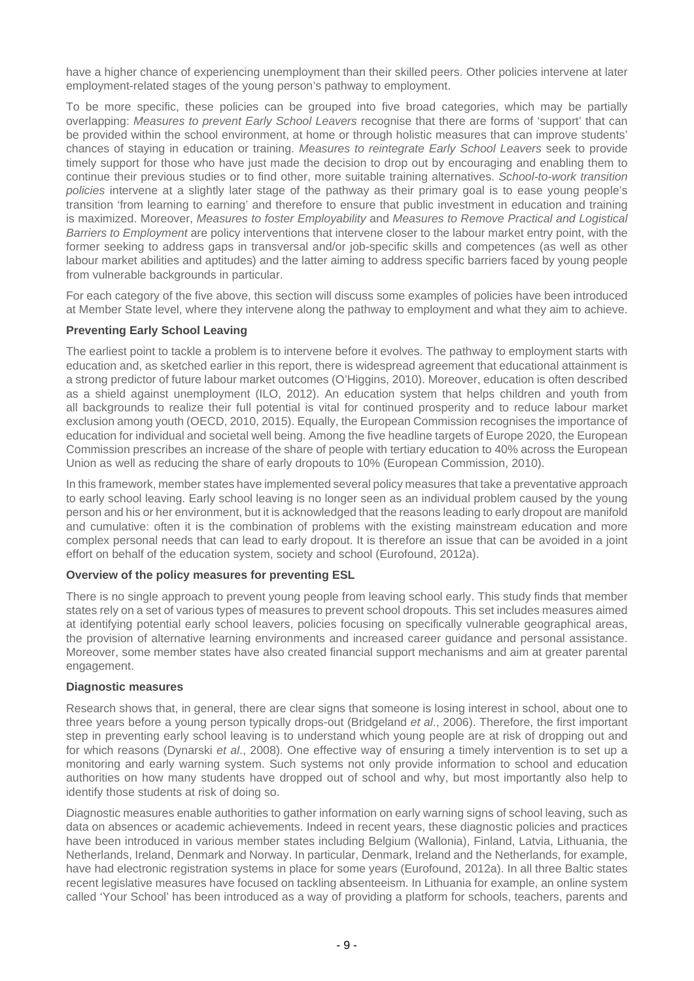have a higher chance of experiencing unemployment than their skilled peers. Other policies intervene at later employment-related stages of the young person's pathway to employment.

To be more specific, these policies can be grouped into five broad categories, which may be partially overlapping: Measures to prevent Early School Leavers recognise that there are forms of 'support' that can be provided within the school environment, at home or through holistic measures that can improve students' chances of staying in education or training. Measures to reintegrate Early School Leavers seek to provide timely support for those who have just made the decision to drop out by encouraging and enabling them to continue their previous studies or to find other, more suitable training alternatives. School-to-work transition policies intervene at a slightly later stage of the pathway as their primary goal is to ease young people's transition 'from learning to earning' and therefore to ensure that public investment in education and training is maximized. Moreover, Measures to foster Employability and Measures to Remove Practical and Logistical Barriers to Employment are policy interventions that intervene closer to the labour market entry point, with the former seeking to address gaps in transversal and/or job-specific skills and competences (as well as other labour market abilities and aptitudes) and the latter aiming to address specific barriers faced by young people from vulnerable backgrounds in particular.

For each category of the five above, this section will discuss some examples of policies have been introduced at Member State level, where they intervene along the pathway to employment and what they aim to achieve.

# **Preventing Early School Leaving**

The earliest point to tackle a problem is to intervene before it evolves. The pathway to employment starts with education and, as sketched earlier in this report, there is widespread agreement that educational attainment is a strong predictor of future labour market outcomes (O'Higgins, 2010). Moreover, education is often described as a shield against unemployment (ILO, 2012). An education system that helps children and youth from all backgrounds to realize their full potential is vital for continued prosperity and to reduce labour market exclusion among youth (OECD, 2010, 2015). Equally, the European Commission recognises the importance of education for individual and societal well being. Among the five headline targets of Europe 2020, the European Commission prescribes an increase of the share of people with tertiary education to 40% across the European Union as well as reducing the share of early dropouts to 10% (European Commission, 2010).

In this framework, member states have implemented several policy measures that take a preventative approach to early school leaving. Early school leaving is no longer seen as an individual problem caused by the young person and his or her environment, but it is acknowledged that the reasons leading to early dropout are manifold and cumulative: often it is the combination of problems with the existing mainstream education and more complex personal needs that can lead to early dropout. It is therefore an issue that can be avoided in a joint effort on behalf of the education system, society and school (Eurofound, 2012a).

#### **Overview of the policy measures for preventing ESL**

There is no single approach to prevent young people from leaving school early. This study finds that member states rely on a set of various types of measures to prevent school dropouts. This set includes measures aimed at identifying potential early school leavers, policies focusing on specifically vulnerable geographical areas, the provision of alternative learning environments and increased career guidance and personal assistance. Moreover, some member states have also created financial support mechanisms and aim at greater parental engagement.

#### **Diagnostic measures**

Research shows that, in general, there are clear signs that someone is losing interest in school, about one to three years before a young person typically drops-out (Bridgeland et al., 2006). Therefore, the first important step in preventing early school leaving is to understand which young people are at risk of dropping out and for which reasons (Dynarski et al., 2008). One effective way of ensuring a timely intervention is to set up a monitoring and early warning system. Such systems not only provide information to school and education authorities on how many students have dropped out of school and why, but most importantly also help to identify those students at risk of doing so.

Diagnostic measures enable authorities to gather information on early warning signs of school leaving, such as data on absences or academic achievements. Indeed in recent years, these diagnostic policies and practices have been introduced in various member states including Belgium (Wallonia), Finland, Latvia, Lithuania, the Netherlands, Ireland, Denmark and Norway. In particular, Denmark, Ireland and the Netherlands, for example, have had electronic registration systems in place for some years (Eurofound, 2012a). In all three Baltic states recent legislative measures have focused on tackling absenteeism. In Lithuania for example, an online system called 'Your School' has been introduced as a way of providing a platform for schools, teachers, parents and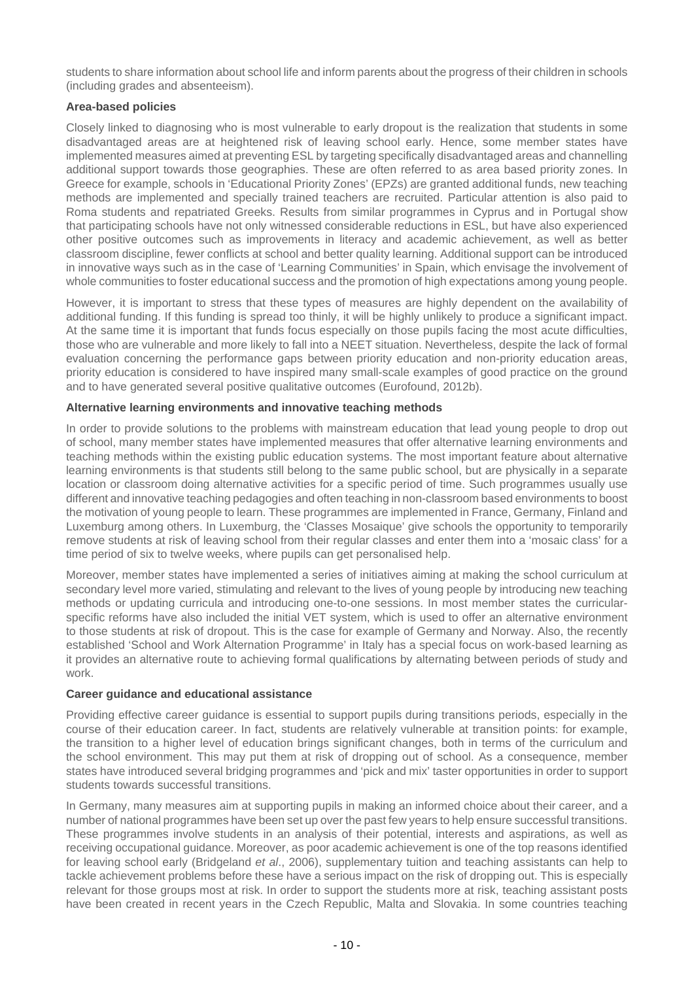students to share information about school life and inform parents about the progress of their children in schools (including grades and absenteeism).

# **Area-based policies**

Closely linked to diagnosing who is most vulnerable to early dropout is the realization that students in some disadvantaged areas are at heightened risk of leaving school early. Hence, some member states have implemented measures aimed at preventing ESL by targeting specifically disadvantaged areas and channelling additional support towards those geographies. These are often referred to as area based priority zones. In Greece for example, schools in 'Educational Priority Zones' (EPZs) are granted additional funds, new teaching methods are implemented and specially trained teachers are recruited. Particular attention is also paid to Roma students and repatriated Greeks. Results from similar programmes in Cyprus and in Portugal show that participating schools have not only witnessed considerable reductions in ESL, but have also experienced other positive outcomes such as improvements in literacy and academic achievement, as well as better classroom discipline, fewer conflicts at school and better quality learning. Additional support can be introduced in innovative ways such as in the case of 'Learning Communities' in Spain, which envisage the involvement of whole communities to foster educational success and the promotion of high expectations among young people.

However, it is important to stress that these types of measures are highly dependent on the availability of additional funding. If this funding is spread too thinly, it will be highly unlikely to produce a significant impact. At the same time it is important that funds focus especially on those pupils facing the most acute difficulties, those who are vulnerable and more likely to fall into a NEET situation. Nevertheless, despite the lack of formal evaluation concerning the performance gaps between priority education and non-priority education areas, priority education is considered to have inspired many small-scale examples of good practice on the ground and to have generated several positive qualitative outcomes (Eurofound, 2012b).

# **Alternative learning environments and innovative teaching methods**

In order to provide solutions to the problems with mainstream education that lead young people to drop out of school, many member states have implemented measures that offer alternative learning environments and teaching methods within the existing public education systems. The most important feature about alternative learning environments is that students still belong to the same public school, but are physically in a separate location or classroom doing alternative activities for a specific period of time. Such programmes usually use different and innovative teaching pedagogies and often teaching in non-classroom based environments to boost the motivation of young people to learn. These programmes are implemented in France, Germany, Finland and Luxemburg among others. In Luxemburg, the 'Classes Mosaique' give schools the opportunity to temporarily remove students at risk of leaving school from their regular classes and enter them into a 'mosaic class' for a time period of six to twelve weeks, where pupils can get personalised help.

Moreover, member states have implemented a series of initiatives aiming at making the school curriculum at secondary level more varied, stimulating and relevant to the lives of young people by introducing new teaching methods or updating curricula and introducing one-to-one sessions. In most member states the curricularspecific reforms have also included the initial VET system, which is used to offer an alternative environment to those students at risk of dropout. This is the case for example of Germany and Norway. Also, the recently established 'School and Work Alternation Programme' in Italy has a special focus on work-based learning as it provides an alternative route to achieving formal qualifications by alternating between periods of study and work.

#### **Career guidance and educational assistance**

Providing effective career guidance is essential to support pupils during transitions periods, especially in the course of their education career. In fact, students are relatively vulnerable at transition points: for example, the transition to a higher level of education brings significant changes, both in terms of the curriculum and the school environment. This may put them at risk of dropping out of school. As a consequence, member states have introduced several bridging programmes and 'pick and mix' taster opportunities in order to support students towards successful transitions.

In Germany, many measures aim at supporting pupils in making an informed choice about their career, and a number of national programmes have been set up over the past few years to help ensure successful transitions. These programmes involve students in an analysis of their potential, interests and aspirations, as well as receiving occupational guidance. Moreover, as poor academic achievement is one of the top reasons identified for leaving school early (Bridgeland et al., 2006), supplementary tuition and teaching assistants can help to tackle achievement problems before these have a serious impact on the risk of dropping out. This is especially relevant for those groups most at risk. In order to support the students more at risk, teaching assistant posts have been created in recent years in the Czech Republic, Malta and Slovakia. In some countries teaching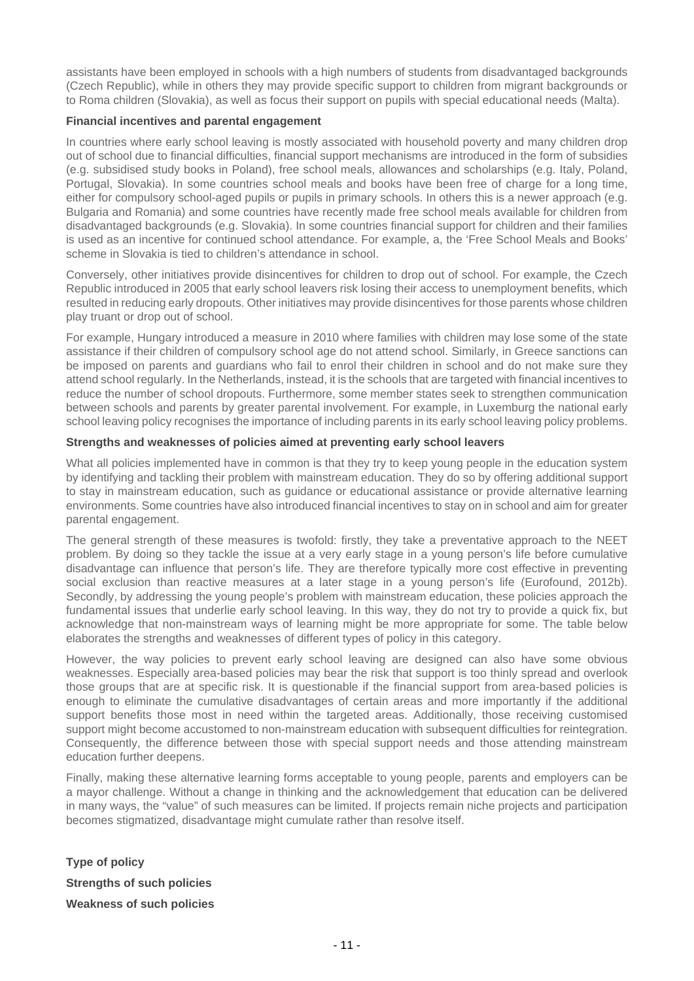assistants have been employed in schools with a high numbers of students from disadvantaged backgrounds (Czech Republic), while in others they may provide specific support to children from migrant backgrounds or to Roma children (Slovakia), as well as focus their support on pupils with special educational needs (Malta).

### **Financial incentives and parental engagement**

In countries where early school leaving is mostly associated with household poverty and many children drop out of school due to financial difficulties, financial support mechanisms are introduced in the form of subsidies (e.g. subsidised study books in Poland), free school meals, allowances and scholarships (e.g. Italy, Poland, Portugal, Slovakia). In some countries school meals and books have been free of charge for a long time, either for compulsory school-aged pupils or pupils in primary schools. In others this is a newer approach (e.g. Bulgaria and Romania) and some countries have recently made free school meals available for children from disadvantaged backgrounds (e.g. Slovakia). In some countries financial support for children and their families is used as an incentive for continued school attendance. For example, a, the 'Free School Meals and Books' scheme in Slovakia is tied to children's attendance in school.

Conversely, other initiatives provide disincentives for children to drop out of school. For example, the Czech Republic introduced in 2005 that early school leavers risk losing their access to unemployment benefits, which resulted in reducing early dropouts. Other initiatives may provide disincentives for those parents whose children play truant or drop out of school.

For example, Hungary introduced a measure in 2010 where families with children may lose some of the state assistance if their children of compulsory school age do not attend school. Similarly, in Greece sanctions can be imposed on parents and guardians who fail to enrol their children in school and do not make sure they attend school regularly. In the Netherlands, instead, it is the schools that are targeted with financial incentives to reduce the number of school dropouts. Furthermore, some member states seek to strengthen communication between schools and parents by greater parental involvement. For example, in Luxemburg the national early school leaving policy recognises the importance of including parents in its early school leaving policy problems.

## **Strengths and weaknesses of policies aimed at preventing early school leavers**

What all policies implemented have in common is that they try to keep young people in the education system by identifying and tackling their problem with mainstream education. They do so by offering additional support to stay in mainstream education, such as guidance or educational assistance or provide alternative learning environments. Some countries have also introduced financial incentives to stay on in school and aim for greater parental engagement.

The general strength of these measures is twofold: firstly, they take a preventative approach to the NEET problem. By doing so they tackle the issue at a very early stage in a young person's life before cumulative disadvantage can influence that person's life. They are therefore typically more cost effective in preventing social exclusion than reactive measures at a later stage in a young person's life (Eurofound, 2012b). Secondly, by addressing the young people's problem with mainstream education, these policies approach the fundamental issues that underlie early school leaving. In this way, they do not try to provide a quick fix, but acknowledge that non-mainstream ways of learning might be more appropriate for some. The table below elaborates the strengths and weaknesses of different types of policy in this category.

However, the way policies to prevent early school leaving are designed can also have some obvious weaknesses. Especially area-based policies may bear the risk that support is too thinly spread and overlook those groups that are at specific risk. It is questionable if the financial support from area-based policies is enough to eliminate the cumulative disadvantages of certain areas and more importantly if the additional support benefits those most in need within the targeted areas. Additionally, those receiving customised support might become accustomed to non-mainstream education with subsequent difficulties for reintegration. Consequently, the difference between those with special support needs and those attending mainstream education further deepens.

Finally, making these alternative learning forms acceptable to young people, parents and employers can be a mayor challenge. Without a change in thinking and the acknowledgement that education can be delivered in many ways, the "value" of such measures can be limited. If projects remain niche projects and participation becomes stigmatized, disadvantage might cumulate rather than resolve itself.

**Type of policy Strengths of such policies Weakness of such policies**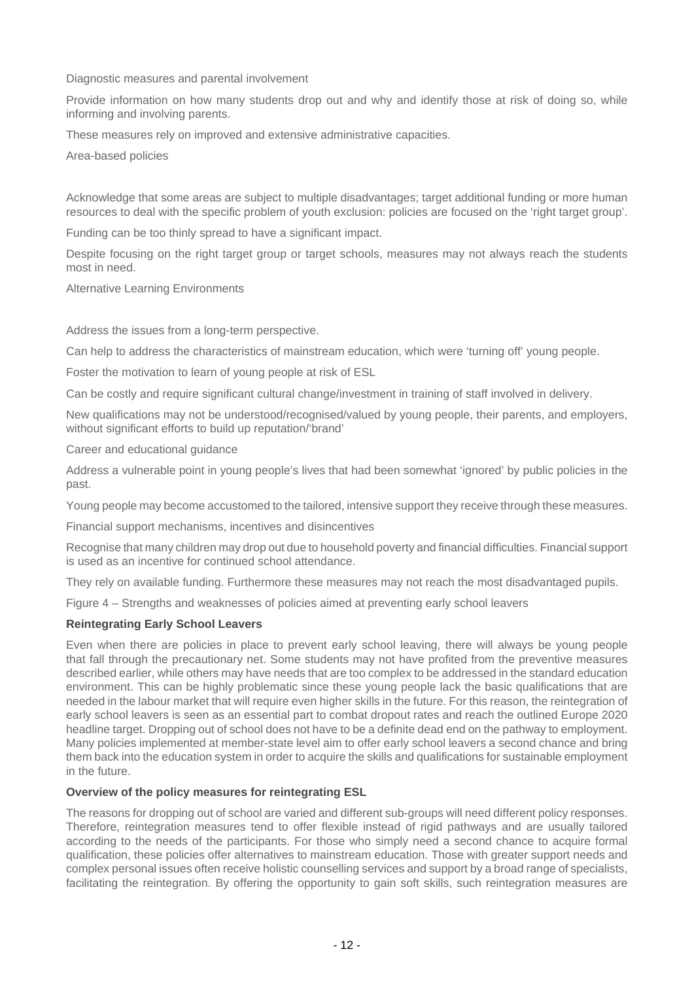Diagnostic measures and parental involvement

Provide information on how many students drop out and why and identify those at risk of doing so, while informing and involving parents.

These measures rely on improved and extensive administrative capacities.

Area-based policies

Acknowledge that some areas are subject to multiple disadvantages; target additional funding or more human resources to deal with the specific problem of youth exclusion: policies are focused on the 'right target group'.

Funding can be too thinly spread to have a significant impact.

Despite focusing on the right target group or target schools, measures may not always reach the students most in need.

Alternative Learning Environments

Address the issues from a long-term perspective.

Can help to address the characteristics of mainstream education, which were 'turning off' young people.

Foster the motivation to learn of young people at risk of ESL

Can be costly and require significant cultural change/investment in training of staff involved in delivery.

New qualifications may not be understood/recognised/valued by young people, their parents, and employers, without significant efforts to build up reputation/'brand'

Career and educational guidance

Address a vulnerable point in young people's lives that had been somewhat 'ignored' by public policies in the past.

Young people may become accustomed to the tailored, intensive support they receive through these measures.

Financial support mechanisms, incentives and disincentives

Recognise that many children may drop out due to household poverty and financial difficulties. Financial support is used as an incentive for continued school attendance.

They rely on available funding. Furthermore these measures may not reach the most disadvantaged pupils.

Figure 4 – Strengths and weaknesses of policies aimed at preventing early school leavers

#### **Reintegrating Early School Leavers**

Even when there are policies in place to prevent early school leaving, there will always be young people that fall through the precautionary net. Some students may not have profited from the preventive measures described earlier, while others may have needs that are too complex to be addressed in the standard education environment. This can be highly problematic since these young people lack the basic qualifications that are needed in the labour market that will require even higher skills in the future. For this reason, the reintegration of early school leavers is seen as an essential part to combat dropout rates and reach the outlined Europe 2020 headline target. Dropping out of school does not have to be a definite dead end on the pathway to employment. Many policies implemented at member-state level aim to offer early school leavers a second chance and bring them back into the education system in order to acquire the skills and qualifications for sustainable employment in the future.

#### **Overview of the policy measures for reintegrating ESL**

The reasons for dropping out of school are varied and different sub-groups will need different policy responses. Therefore, reintegration measures tend to offer flexible instead of rigid pathways and are usually tailored according to the needs of the participants. For those who simply need a second chance to acquire formal qualification, these policies offer alternatives to mainstream education. Those with greater support needs and complex personal issues often receive holistic counselling services and support by a broad range of specialists, facilitating the reintegration. By offering the opportunity to gain soft skills, such reintegration measures are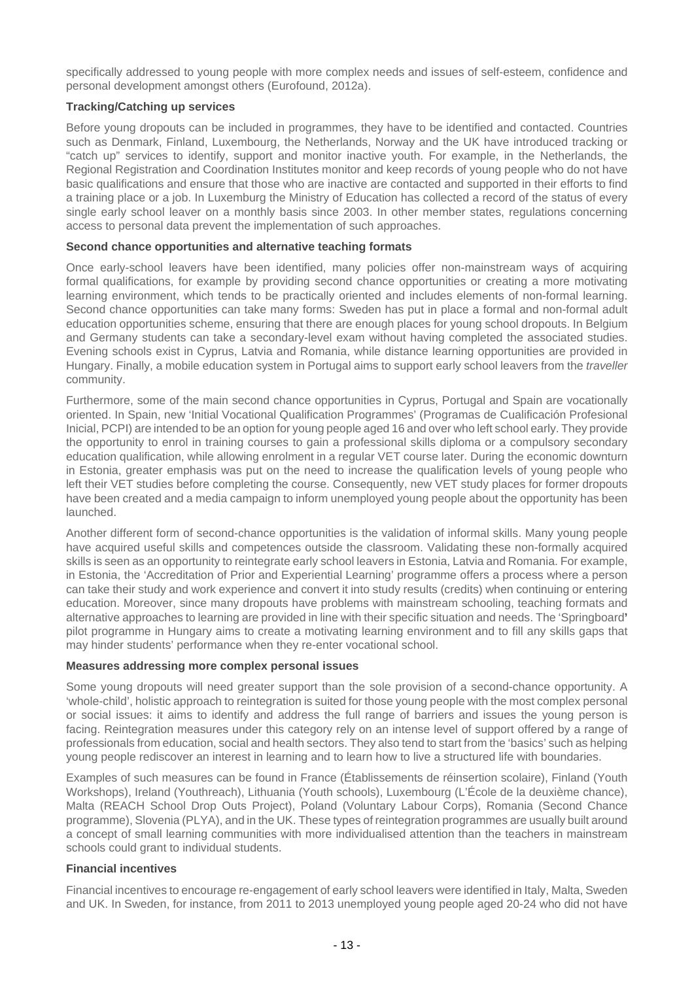specifically addressed to young people with more complex needs and issues of self-esteem, confidence and personal development amongst others (Eurofound, 2012a).

## **Tracking/Catching up services**

Before young dropouts can be included in programmes, they have to be identified and contacted. Countries such as Denmark, Finland, Luxembourg, the Netherlands, Norway and the UK have introduced tracking or "catch up" services to identify, support and monitor inactive youth. For example, in the Netherlands, the Regional Registration and Coordination Institutes monitor and keep records of young people who do not have basic qualifications and ensure that those who are inactive are contacted and supported in their efforts to find a training place or a job. In Luxemburg the Ministry of Education has collected a record of the status of every single early school leaver on a monthly basis since 2003. In other member states, regulations concerning access to personal data prevent the implementation of such approaches.

## **Second chance opportunities and alternative teaching formats**

Once early-school leavers have been identified, many policies offer non-mainstream ways of acquiring formal qualifications, for example by providing second chance opportunities or creating a more motivating learning environment, which tends to be practically oriented and includes elements of non-formal learning. Second chance opportunities can take many forms: Sweden has put in place a formal and non-formal adult education opportunities scheme, ensuring that there are enough places for young school dropouts. In Belgium and Germany students can take a secondary-level exam without having completed the associated studies. Evening schools exist in Cyprus, Latvia and Romania, while distance learning opportunities are provided in Hungary. Finally, a mobile education system in Portugal aims to support early school leavers from the *traveller* community.

Furthermore, some of the main second chance opportunities in Cyprus, Portugal and Spain are vocationally oriented. In Spain, new 'Initial Vocational Qualification Programmes' (Programas de Cualificación Profesional Inicial, PCPI) are intended to be an option for young people aged 16 and over who left school early. They provide the opportunity to enrol in training courses to gain a professional skills diploma or a compulsory secondary education qualification, while allowing enrolment in a regular VET course later. During the economic downturn in Estonia, greater emphasis was put on the need to increase the qualification levels of young people who left their VET studies before completing the course. Consequently, new VET study places for former dropouts have been created and a media campaign to inform unemployed young people about the opportunity has been launched.

Another different form of second-chance opportunities is the validation of informal skills. Many young people have acquired useful skills and competences outside the classroom. Validating these non-formally acquired skills is seen as an opportunity to reintegrate early school leavers in Estonia, Latvia and Romania. For example, in Estonia, the 'Accreditation of Prior and Experiential Learning' programme offers a process where a person can take their study and work experience and convert it into study results (credits) when continuing or entering education. Moreover, since many dropouts have problems with mainstream schooling, teaching formats and alternative approaches to learning are provided in line with their specific situation and needs. The 'Springboard**'** pilot programme in Hungary aims to create a motivating learning environment and to fill any skills gaps that may hinder students' performance when they re-enter vocational school.

#### **Measures addressing more complex personal issues**

Some young dropouts will need greater support than the sole provision of a second-chance opportunity. A 'whole-child', holistic approach to reintegration is suited for those young people with the most complex personal or social issues: it aims to identify and address the full range of barriers and issues the young person is facing. Reintegration measures under this category rely on an intense level of support offered by a range of professionals from education, social and health sectors. They also tend to start from the 'basics' such as helping young people rediscover an interest in learning and to learn how to live a structured life with boundaries.

Examples of such measures can be found in France (Établissements de réinsertion scolaire), Finland (Youth Workshops), Ireland (Youthreach), Lithuania (Youth schools), Luxembourg (L'École de la deuxième chance), Malta (REACH School Drop Outs Project), Poland (Voluntary Labour Corps), Romania (Second Chance programme), Slovenia (PLYA), and in the UK. These types of reintegration programmes are usually built around a concept of small learning communities with more individualised attention than the teachers in mainstream schools could grant to individual students.

#### **Financial incentives**

Financial incentives to encourage re-engagement of early school leavers were identified in Italy, Malta, Sweden and UK. In Sweden, for instance, from 2011 to 2013 unemployed young people aged 20-24 who did not have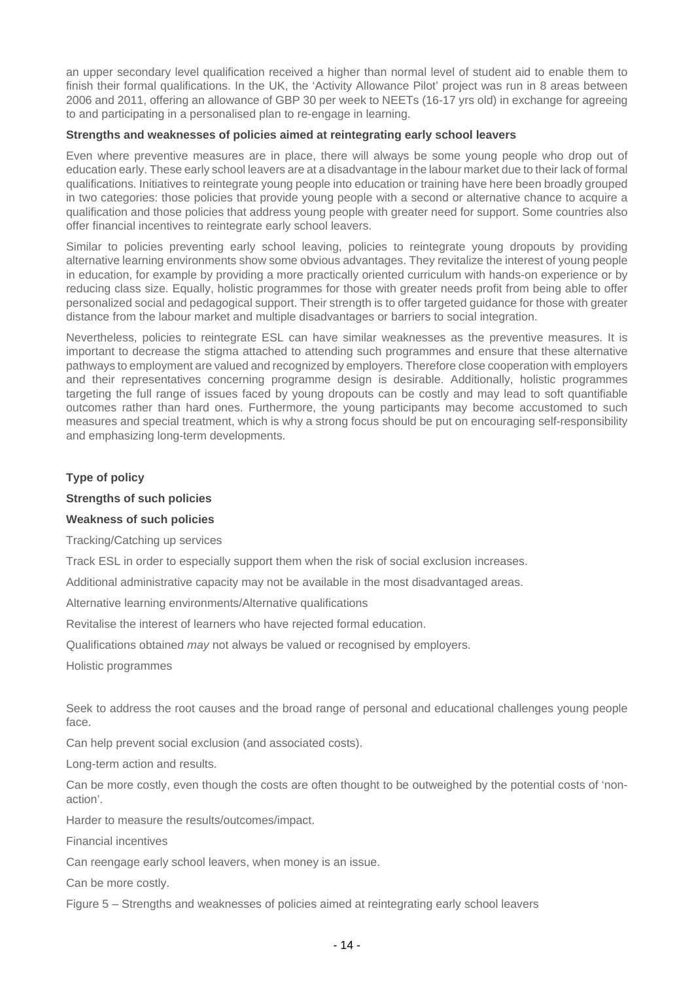an upper secondary level qualification received a higher than normal level of student aid to enable them to finish their formal qualifications. In the UK, the 'Activity Allowance Pilot' project was run in 8 areas between 2006 and 2011, offering an allowance of GBP 30 per week to NEETs (16-17 yrs old) in exchange for agreeing to and participating in a personalised plan to re-engage in learning.

#### **Strengths and weaknesses of policies aimed at reintegrating early school leavers**

Even where preventive measures are in place, there will always be some young people who drop out of education early. These early school leavers are at a disadvantage in the labour market due to their lack of formal qualifications. Initiatives to reintegrate young people into education or training have here been broadly grouped in two categories: those policies that provide young people with a second or alternative chance to acquire a qualification and those policies that address young people with greater need for support. Some countries also offer financial incentives to reintegrate early school leavers.

Similar to policies preventing early school leaving, policies to reintegrate young dropouts by providing alternative learning environments show some obvious advantages. They revitalize the interest of young people in education, for example by providing a more practically oriented curriculum with hands-on experience or by reducing class size. Equally, holistic programmes for those with greater needs profit from being able to offer personalized social and pedagogical support. Their strength is to offer targeted guidance for those with greater distance from the labour market and multiple disadvantages or barriers to social integration.

Nevertheless, policies to reintegrate ESL can have similar weaknesses as the preventive measures. It is important to decrease the stigma attached to attending such programmes and ensure that these alternative pathways to employment are valued and recognized by employers. Therefore close cooperation with employers and their representatives concerning programme design is desirable. Additionally, holistic programmes targeting the full range of issues faced by young dropouts can be costly and may lead to soft quantifiable outcomes rather than hard ones. Furthermore, the young participants may become accustomed to such measures and special treatment, which is why a strong focus should be put on encouraging self-responsibility and emphasizing long-term developments.

#### **Type of policy**

#### **Strengths of such policies**

#### **Weakness of such policies**

Tracking/Catching up services

Track ESL in order to especially support them when the risk of social exclusion increases.

Additional administrative capacity may not be available in the most disadvantaged areas.

Alternative learning environments/Alternative qualifications

Revitalise the interest of learners who have rejected formal education.

Qualifications obtained *may* not always be valued or recognised by employers.

Holistic programmes

Seek to address the root causes and the broad range of personal and educational challenges young people face.

Can help prevent social exclusion (and associated costs).

Long-term action and results.

Can be more costly, even though the costs are often thought to be outweighed by the potential costs of 'nonaction'.

Harder to measure the results/outcomes/impact.

Financial incentives

Can reengage early school leavers, when money is an issue.

Can be more costly.

Figure 5 – Strengths and weaknesses of policies aimed at reintegrating early school leavers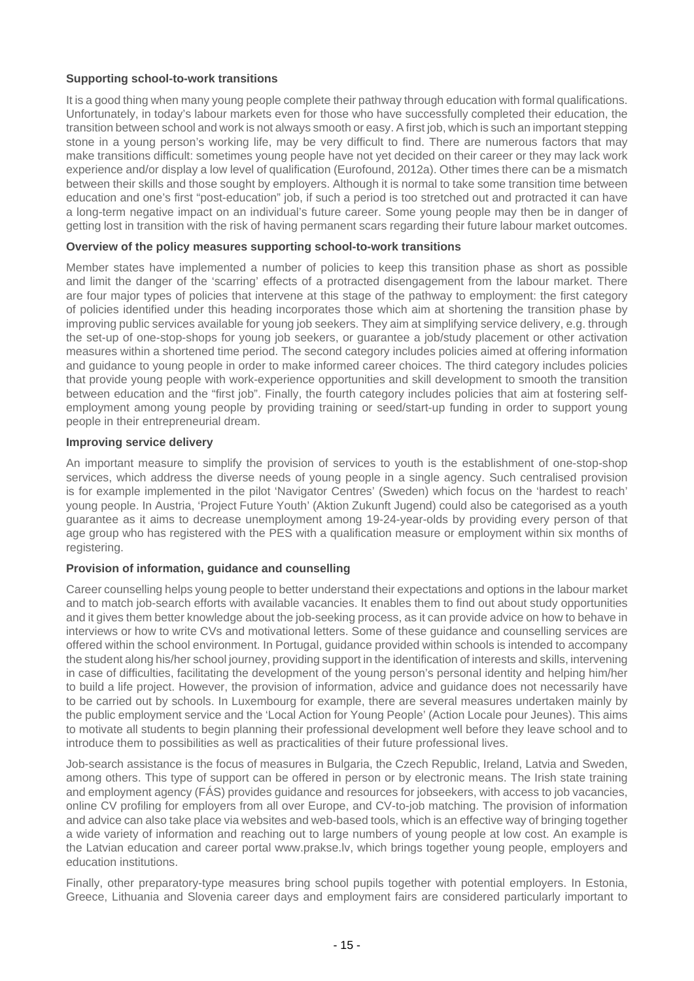# **Supporting school-to-work transitions**

It is a good thing when many young people complete their pathway through education with formal qualifications. Unfortunately, in today's labour markets even for those who have successfully completed their education, the transition between school and work is not always smooth or easy. A first job, which is such an important stepping stone in a young person's working life, may be very difficult to find. There are numerous factors that may make transitions difficult: sometimes young people have not yet decided on their career or they may lack work experience and/or display a low level of qualification (Eurofound, 2012a). Other times there can be a mismatch between their skills and those sought by employers. Although it is normal to take some transition time between education and one's first "post-education" job, if such a period is too stretched out and protracted it can have a long-term negative impact on an individual's future career. Some young people may then be in danger of getting lost in transition with the risk of having permanent scars regarding their future labour market outcomes.

#### **Overview of the policy measures supporting school-to-work transitions**

Member states have implemented a number of policies to keep this transition phase as short as possible and limit the danger of the 'scarring' effects of a protracted disengagement from the labour market. There are four major types of policies that intervene at this stage of the pathway to employment: the first category of policies identified under this heading incorporates those which aim at shortening the transition phase by improving public services available for young job seekers. They aim at simplifying service delivery, e.g. through the set-up of one-stop-shops for young job seekers, or guarantee a job/study placement or other activation measures within a shortened time period. The second category includes policies aimed at offering information and guidance to young people in order to make informed career choices. The third category includes policies that provide young people with work-experience opportunities and skill development to smooth the transition between education and the "first job". Finally, the fourth category includes policies that aim at fostering selfemployment among young people by providing training or seed/start-up funding in order to support young people in their entrepreneurial dream.

## **Improving service delivery**

An important measure to simplify the provision of services to youth is the establishment of one-stop-shop services, which address the diverse needs of young people in a single agency. Such centralised provision is for example implemented in the pilot 'Navigator Centres' (Sweden) which focus on the 'hardest to reach' young people. In Austria, 'Project Future Youth' (Aktion Zukunft Jugend) could also be categorised as a youth guarantee as it aims to decrease unemployment among 19-24-year-olds by providing every person of that age group who has registered with the PES with a qualification measure or employment within six months of registering.

### **Provision of information, guidance and counselling**

Career counselling helps young people to better understand their expectations and options in the labour market and to match job-search efforts with available vacancies. It enables them to find out about study opportunities and it gives them better knowledge about the job-seeking process, as it can provide advice on how to behave in interviews or how to write CVs and motivational letters. Some of these guidance and counselling services are offered within the school environment. In Portugal, guidance provided within schools is intended to accompany the student along his/her school journey, providing support in the identification of interests and skills, intervening in case of difficulties, facilitating the development of the young person's personal identity and helping him/her to build a life project. However, the provision of information, advice and guidance does not necessarily have to be carried out by schools. In Luxembourg for example, there are several measures undertaken mainly by the public employment service and the 'Local Action for Young People' (Action Locale pour Jeunes). This aims to motivate all students to begin planning their professional development well before they leave school and to introduce them to possibilities as well as practicalities of their future professional lives.

Job-search assistance is the focus of measures in Bulgaria, the Czech Republic, Ireland, Latvia and Sweden, among others. This type of support can be offered in person or by electronic means. The Irish state training and employment agency (FÁS) provides guidance and resources for jobseekers, with access to job vacancies, online CV profiling for employers from all over Europe, and CV-to-job matching. The provision of information and advice can also take place via websites and web-based tools, which is an effective way of bringing together a wide variety of information and reaching out to large numbers of young people at low cost. An example is the Latvian education and career portal www.prakse.lv, which brings together young people, employers and education institutions.

Finally, other preparatory-type measures bring school pupils together with potential employers. In Estonia, Greece, Lithuania and Slovenia career days and employment fairs are considered particularly important to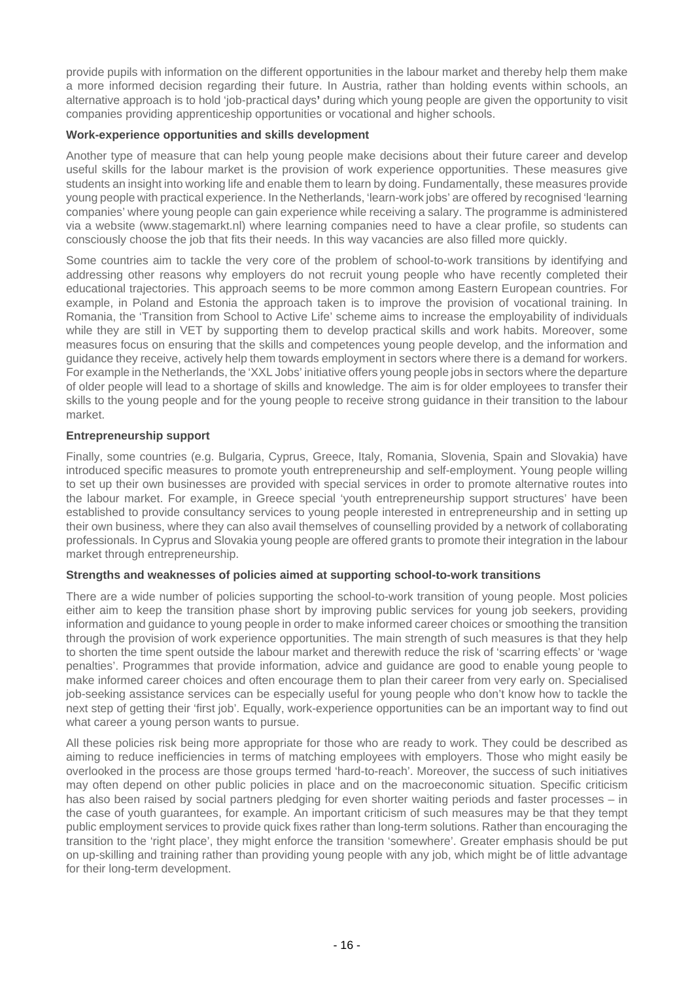provide pupils with information on the different opportunities in the labour market and thereby help them make a more informed decision regarding their future. In Austria, rather than holding events within schools, an alternative approach is to hold 'job-practical days**'** during which young people are given the opportunity to visit companies providing apprenticeship opportunities or vocational and higher schools.

## **Work-experience opportunities and skills development**

Another type of measure that can help young people make decisions about their future career and develop useful skills for the labour market is the provision of work experience opportunities. These measures give students an insight into working life and enable them to learn by doing. Fundamentally, these measures provide young people with practical experience. In the Netherlands, 'learn-work jobs' are offered by recognised 'learning companies' where young people can gain experience while receiving a salary. The programme is administered via a website (www.stagemarkt.nl) where learning companies need to have a clear profile, so students can consciously choose the job that fits their needs. In this way vacancies are also filled more quickly.

Some countries aim to tackle the very core of the problem of school-to-work transitions by identifying and addressing other reasons why employers do not recruit young people who have recently completed their educational trajectories. This approach seems to be more common among Eastern European countries. For example, in Poland and Estonia the approach taken is to improve the provision of vocational training. In Romania, the 'Transition from School to Active Life' scheme aims to increase the employability of individuals while they are still in VET by supporting them to develop practical skills and work habits. Moreover, some measures focus on ensuring that the skills and competences young people develop, and the information and guidance they receive, actively help them towards employment in sectors where there is a demand for workers. For example in the Netherlands, the 'XXL Jobs' initiative offers young people jobs in sectors where the departure of older people will lead to a shortage of skills and knowledge. The aim is for older employees to transfer their skills to the young people and for the young people to receive strong guidance in their transition to the labour market.

# **Entrepreneurship support**

Finally, some countries (e.g. Bulgaria, Cyprus, Greece, Italy, Romania, Slovenia, Spain and Slovakia) have introduced specific measures to promote youth entrepreneurship and self-employment. Young people willing to set up their own businesses are provided with special services in order to promote alternative routes into the labour market. For example, in Greece special 'youth entrepreneurship support structures' have been established to provide consultancy services to young people interested in entrepreneurship and in setting up their own business, where they can also avail themselves of counselling provided by a network of collaborating professionals. In Cyprus and Slovakia young people are offered grants to promote their integration in the labour market through entrepreneurship.

#### **Strengths and weaknesses of policies aimed at supporting school-to-work transitions**

There are a wide number of policies supporting the school-to-work transition of young people. Most policies either aim to keep the transition phase short by improving public services for young job seekers, providing information and guidance to young people in order to make informed career choices or smoothing the transition through the provision of work experience opportunities. The main strength of such measures is that they help to shorten the time spent outside the labour market and therewith reduce the risk of 'scarring effects' or 'wage penalties'. Programmes that provide information, advice and guidance are good to enable young people to make informed career choices and often encourage them to plan their career from very early on. Specialised job-seeking assistance services can be especially useful for young people who don't know how to tackle the next step of getting their 'first job'. Equally, work-experience opportunities can be an important way to find out what career a young person wants to pursue.

All these policies risk being more appropriate for those who are ready to work. They could be described as aiming to reduce inefficiencies in terms of matching employees with employers. Those who might easily be overlooked in the process are those groups termed 'hard-to-reach'. Moreover, the success of such initiatives may often depend on other public policies in place and on the macroeconomic situation. Specific criticism has also been raised by social partners pledging for even shorter waiting periods and faster processes – in the case of youth guarantees, for example. An important criticism of such measures may be that they tempt public employment services to provide quick fixes rather than long-term solutions. Rather than encouraging the transition to the 'right place', they might enforce the transition 'somewhere'. Greater emphasis should be put on up-skilling and training rather than providing young people with any job, which might be of little advantage for their long-term development.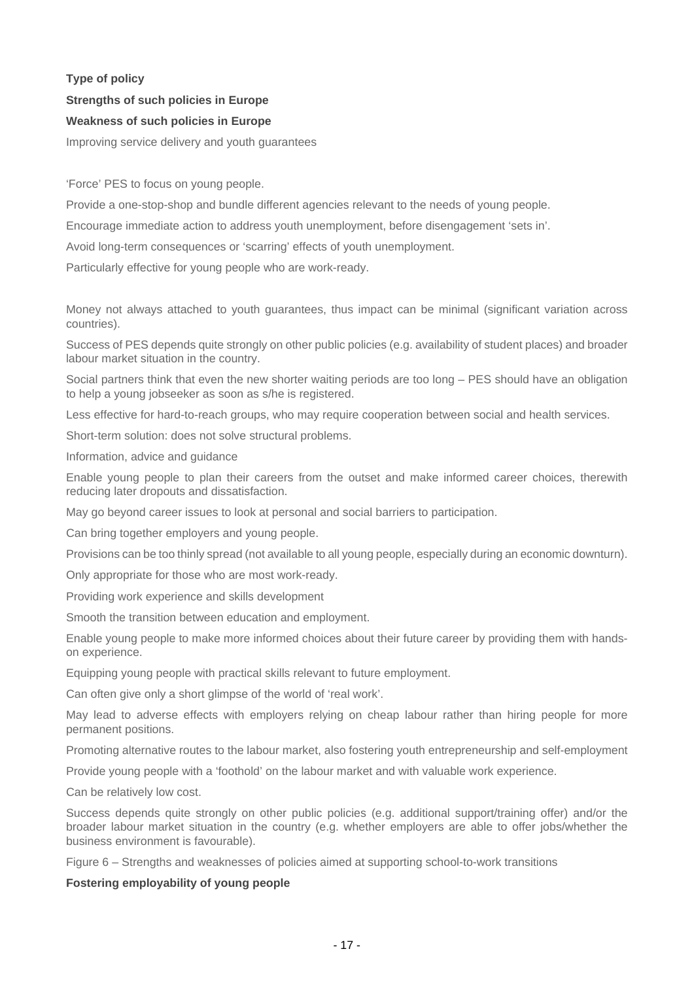# **Type of policy Strengths of such policies in Europe**

# **Weakness of such policies in Europe**

Improving service delivery and youth guarantees

'Force' PES to focus on young people.

Provide a one-stop-shop and bundle different agencies relevant to the needs of young people.

Encourage immediate action to address youth unemployment, before disengagement 'sets in'.

Avoid long-term consequences or 'scarring' effects of youth unemployment.

Particularly effective for young people who are work-ready.

Money not always attached to youth guarantees, thus impact can be minimal (significant variation across countries).

Success of PES depends quite strongly on other public policies (e.g. availability of student places) and broader labour market situation in the country.

Social partners think that even the new shorter waiting periods are too long – PES should have an obligation to help a young jobseeker as soon as s/he is registered.

Less effective for hard-to-reach groups, who may require cooperation between social and health services.

Short-term solution: does not solve structural problems.

Information, advice and guidance

Enable young people to plan their careers from the outset and make informed career choices, therewith reducing later dropouts and dissatisfaction.

May go beyond career issues to look at personal and social barriers to participation.

Can bring together employers and young people.

Provisions can be too thinly spread (not available to all young people, especially during an economic downturn).

Only appropriate for those who are most work-ready.

Providing work experience and skills development

Smooth the transition between education and employment.

Enable young people to make more informed choices about their future career by providing them with handson experience.

Equipping young people with practical skills relevant to future employment.

Can often give only a short glimpse of the world of 'real work'.

May lead to adverse effects with employers relying on cheap labour rather than hiring people for more permanent positions.

Promoting alternative routes to the labour market, also fostering youth entrepreneurship and self-employment

Provide young people with a 'foothold' on the labour market and with valuable work experience.

Can be relatively low cost.

Success depends quite strongly on other public policies (e.g. additional support/training offer) and/or the broader labour market situation in the country (e.g. whether employers are able to offer jobs/whether the business environment is favourable).

Figure 6 – Strengths and weaknesses of policies aimed at supporting school-to-work transitions

#### **Fostering employability of young people**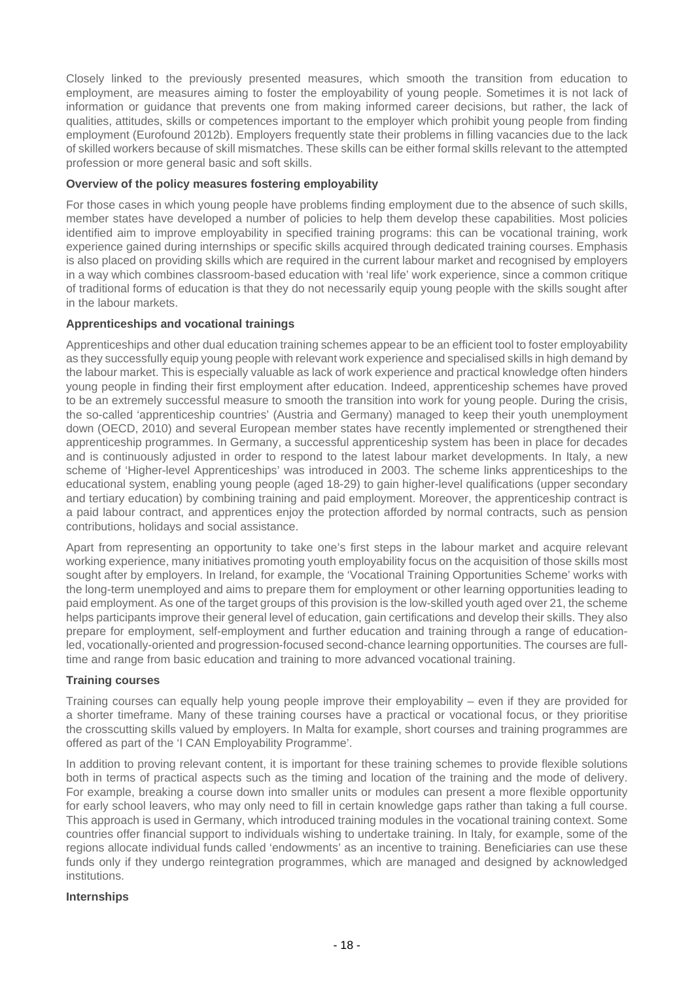Closely linked to the previously presented measures, which smooth the transition from education to employment, are measures aiming to foster the employability of young people. Sometimes it is not lack of information or guidance that prevents one from making informed career decisions, but rather, the lack of qualities, attitudes, skills or competences important to the employer which prohibit young people from finding employment (Eurofound 2012b). Employers frequently state their problems in filling vacancies due to the lack of skilled workers because of skill mismatches. These skills can be either formal skills relevant to the attempted profession or more general basic and soft skills.

## **Overview of the policy measures fostering employability**

For those cases in which young people have problems finding employment due to the absence of such skills, member states have developed a number of policies to help them develop these capabilities. Most policies identified aim to improve employability in specified training programs: this can be vocational training, work experience gained during internships or specific skills acquired through dedicated training courses. Emphasis is also placed on providing skills which are required in the current labour market and recognised by employers in a way which combines classroom-based education with 'real life' work experience, since a common critique of traditional forms of education is that they do not necessarily equip young people with the skills sought after in the labour markets.

# **Apprenticeships and vocational trainings**

Apprenticeships and other dual education training schemes appear to be an efficient tool to foster employability as they successfully equip young people with relevant work experience and specialised skills in high demand by the labour market. This is especially valuable as lack of work experience and practical knowledge often hinders young people in finding their first employment after education. Indeed, apprenticeship schemes have proved to be an extremely successful measure to smooth the transition into work for young people. During the crisis, the so-called 'apprenticeship countries' (Austria and Germany) managed to keep their youth unemployment down (OECD, 2010) and several European member states have recently implemented or strengthened their apprenticeship programmes. In Germany, a successful apprenticeship system has been in place for decades and is continuously adjusted in order to respond to the latest labour market developments. In Italy, a new scheme of 'Higher-level Apprenticeships' was introduced in 2003. The scheme links apprenticeships to the educational system, enabling young people (aged 18-29) to gain higher-level qualifications (upper secondary and tertiary education) by combining training and paid employment. Moreover, the apprenticeship contract is a paid labour contract, and apprentices enjoy the protection afforded by normal contracts, such as pension contributions, holidays and social assistance.

Apart from representing an opportunity to take one's first steps in the labour market and acquire relevant working experience, many initiatives promoting youth employability focus on the acquisition of those skills most sought after by employers. In Ireland, for example, the 'Vocational Training Opportunities Scheme' works with the long-term unemployed and aims to prepare them for employment or other learning opportunities leading to paid employment. As one of the target groups of this provision is the low-skilled youth aged over 21, the scheme helps participants improve their general level of education, gain certifications and develop their skills. They also prepare for employment, self-employment and further education and training through a range of educationled, vocationally-oriented and progression-focused second-chance learning opportunities. The courses are fulltime and range from basic education and training to more advanced vocational training.

#### **Training courses**

Training courses can equally help young people improve their employability – even if they are provided for a shorter timeframe. Many of these training courses have a practical or vocational focus, or they prioritise the crosscutting skills valued by employers. In Malta for example, short courses and training programmes are offered as part of the 'I CAN Employability Programme'.

In addition to proving relevant content, it is important for these training schemes to provide flexible solutions both in terms of practical aspects such as the timing and location of the training and the mode of delivery. For example, breaking a course down into smaller units or modules can present a more flexible opportunity for early school leavers, who may only need to fill in certain knowledge gaps rather than taking a full course. This approach is used in Germany, which introduced training modules in the vocational training context. Some countries offer financial support to individuals wishing to undertake training. In Italy, for example, some of the regions allocate individual funds called 'endowments' as an incentive to training. Beneficiaries can use these funds only if they undergo reintegration programmes, which are managed and designed by acknowledged institutions.

#### **Internships**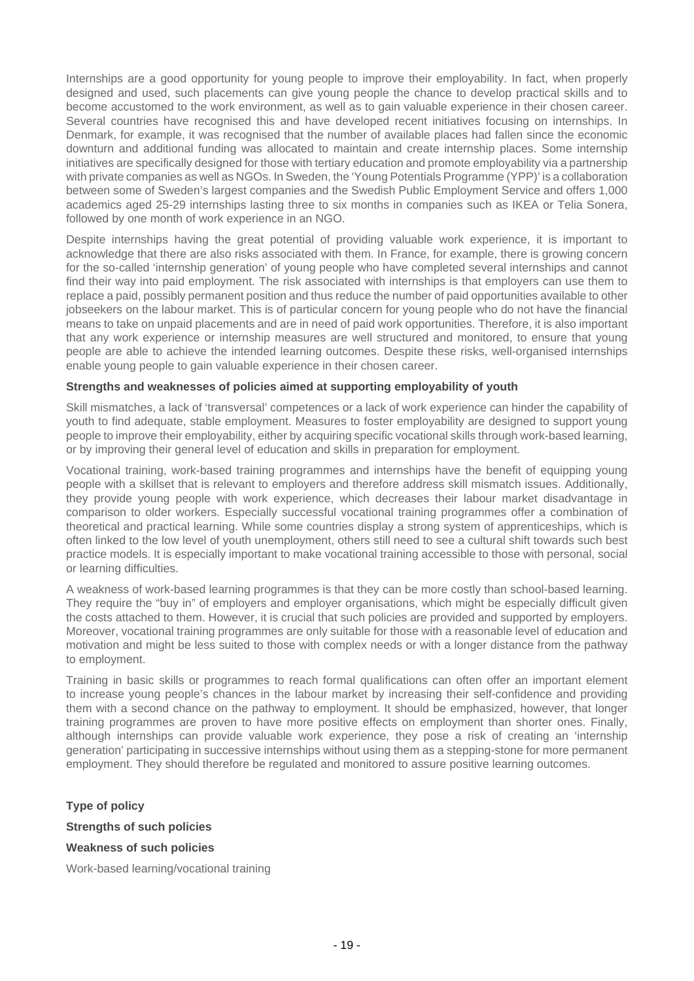Internships are a good opportunity for young people to improve their employability. In fact, when properly designed and used, such placements can give young people the chance to develop practical skills and to become accustomed to the work environment, as well as to gain valuable experience in their chosen career. Several countries have recognised this and have developed recent initiatives focusing on internships. In Denmark, for example, it was recognised that the number of available places had fallen since the economic downturn and additional funding was allocated to maintain and create internship places. Some internship initiatives are specifically designed for those with tertiary education and promote employability via a partnership with private companies as well as NGOs. In Sweden, the 'Young Potentials Programme (YPP)' is a collaboration between some of Sweden's largest companies and the Swedish Public Employment Service and offers 1,000 academics aged 25-29 internships lasting three to six months in companies such as IKEA or Telia Sonera, followed by one month of work experience in an NGO.

Despite internships having the great potential of providing valuable work experience, it is important to acknowledge that there are also risks associated with them. In France, for example, there is growing concern for the so-called 'internship generation' of young people who have completed several internships and cannot find their way into paid employment. The risk associated with internships is that employers can use them to replace a paid, possibly permanent position and thus reduce the number of paid opportunities available to other jobseekers on the labour market. This is of particular concern for young people who do not have the financial means to take on unpaid placements and are in need of paid work opportunities. Therefore, it is also important that any work experience or internship measures are well structured and monitored, to ensure that young people are able to achieve the intended learning outcomes. Despite these risks, well-organised internships enable young people to gain valuable experience in their chosen career.

#### **Strengths and weaknesses of policies aimed at supporting employability of youth**

Skill mismatches, a lack of 'transversal' competences or a lack of work experience can hinder the capability of youth to find adequate, stable employment. Measures to foster employability are designed to support young people to improve their employability, either by acquiring specific vocational skills through work-based learning, or by improving their general level of education and skills in preparation for employment.

Vocational training, work-based training programmes and internships have the benefit of equipping young people with a skillset that is relevant to employers and therefore address skill mismatch issues. Additionally, they provide young people with work experience, which decreases their labour market disadvantage in comparison to older workers. Especially successful vocational training programmes offer a combination of theoretical and practical learning. While some countries display a strong system of apprenticeships, which is often linked to the low level of youth unemployment, others still need to see a cultural shift towards such best practice models. It is especially important to make vocational training accessible to those with personal, social or learning difficulties.

A weakness of work-based learning programmes is that they can be more costly than school-based learning. They require the "buy in" of employers and employer organisations, which might be especially difficult given the costs attached to them. However, it is crucial that such policies are provided and supported by employers. Moreover, vocational training programmes are only suitable for those with a reasonable level of education and motivation and might be less suited to those with complex needs or with a longer distance from the pathway to employment.

Training in basic skills or programmes to reach formal qualifications can often offer an important element to increase young people's chances in the labour market by increasing their self-confidence and providing them with a second chance on the pathway to employment. It should be emphasized, however, that longer training programmes are proven to have more positive effects on employment than shorter ones. Finally, although internships can provide valuable work experience, they pose a risk of creating an 'internship generation' participating in successive internships without using them as a stepping-stone for more permanent employment. They should therefore be regulated and monitored to assure positive learning outcomes.

**Type of policy Strengths of such policies Weakness of such policies**

Work-based learning/vocational training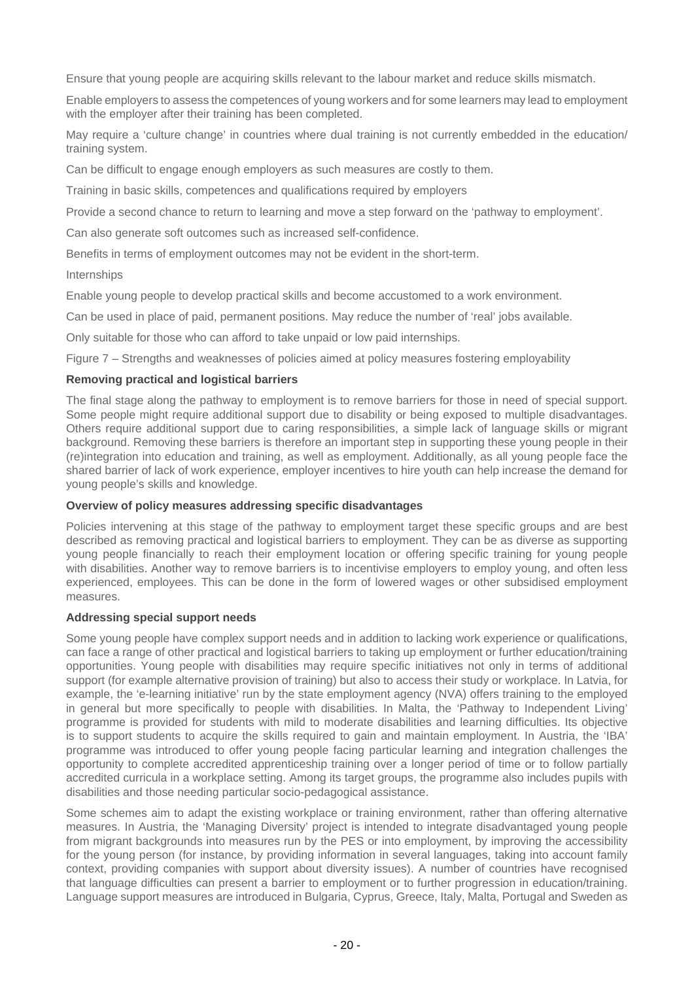Ensure that young people are acquiring skills relevant to the labour market and reduce skills mismatch.

Enable employers to assess the competences of young workers and for some learners may lead to employment with the employer after their training has been completed.

May require a 'culture change' in countries where dual training is not currently embedded in the education/ training system.

Can be difficult to engage enough employers as such measures are costly to them.

Training in basic skills, competences and qualifications required by employers

Provide a second chance to return to learning and move a step forward on the 'pathway to employment'.

Can also generate soft outcomes such as increased self-confidence.

Benefits in terms of employment outcomes may not be evident in the short-term.

Internships

Enable young people to develop practical skills and become accustomed to a work environment.

Can be used in place of paid, permanent positions. May reduce the number of 'real' jobs available.

Only suitable for those who can afford to take unpaid or low paid internships.

Figure 7 – Strengths and weaknesses of policies aimed at policy measures fostering employability

#### **Removing practical and logistical barriers**

The final stage along the pathway to employment is to remove barriers for those in need of special support. Some people might require additional support due to disability or being exposed to multiple disadvantages. Others require additional support due to caring responsibilities, a simple lack of language skills or migrant background. Removing these barriers is therefore an important step in supporting these young people in their (re)integration into education and training, as well as employment. Additionally, as all young people face the shared barrier of lack of work experience, employer incentives to hire youth can help increase the demand for young people's skills and knowledge.

## **Overview of policy measures addressing specific disadvantages**

Policies intervening at this stage of the pathway to employment target these specific groups and are best described as removing practical and logistical barriers to employment. They can be as diverse as supporting young people financially to reach their employment location or offering specific training for young people with disabilities. Another way to remove barriers is to incentivise employers to employ young, and often less experienced, employees. This can be done in the form of lowered wages or other subsidised employment measures.

#### **Addressing special support needs**

Some young people have complex support needs and in addition to lacking work experience or qualifications, can face a range of other practical and logistical barriers to taking up employment or further education/training opportunities. Young people with disabilities may require specific initiatives not only in terms of additional support (for example alternative provision of training) but also to access their study or workplace. In Latvia, for example, the 'e-learning initiative' run by the state employment agency (NVA) offers training to the employed in general but more specifically to people with disabilities. In Malta, the 'Pathway to Independent Living' programme is provided for students with mild to moderate disabilities and learning difficulties. Its objective is to support students to acquire the skills required to gain and maintain employment. In Austria, the 'IBA' programme was introduced to offer young people facing particular learning and integration challenges the opportunity to complete accredited apprenticeship training over a longer period of time or to follow partially accredited curricula in a workplace setting. Among its target groups, the programme also includes pupils with disabilities and those needing particular socio-pedagogical assistance.

Some schemes aim to adapt the existing workplace or training environment, rather than offering alternative measures. In Austria, the 'Managing Diversity' project is intended to integrate disadvantaged young people from migrant backgrounds into measures run by the PES or into employment, by improving the accessibility for the young person (for instance, by providing information in several languages, taking into account family context, providing companies with support about diversity issues). A number of countries have recognised that language difficulties can present a barrier to employment or to further progression in education/training. Language support measures are introduced in Bulgaria, Cyprus, Greece, Italy, Malta, Portugal and Sweden as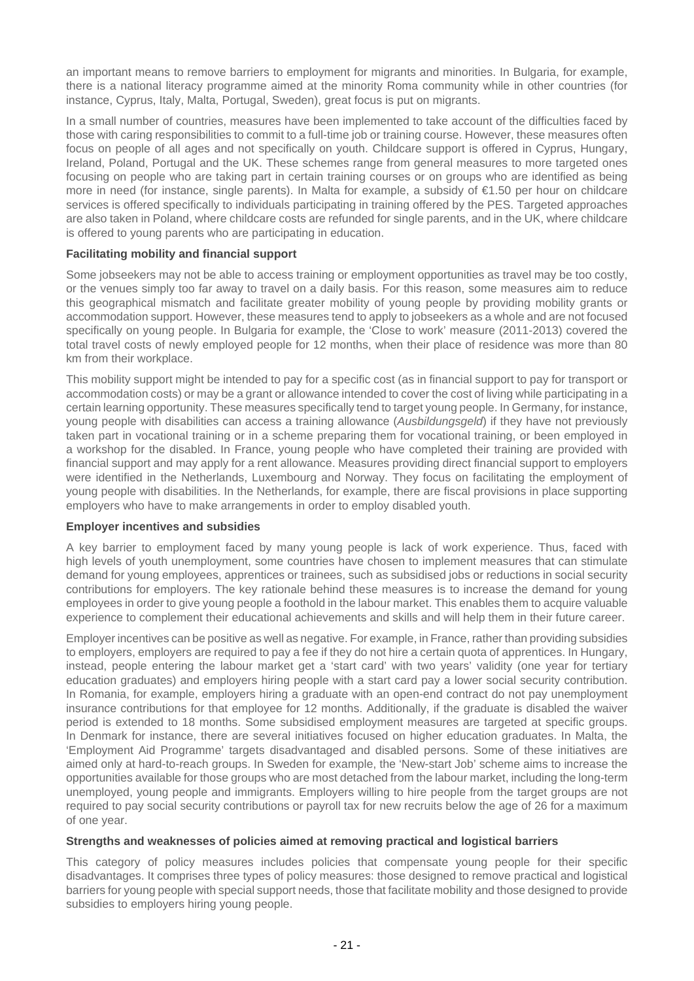an important means to remove barriers to employment for migrants and minorities. In Bulgaria, for example, there is a national literacy programme aimed at the minority Roma community while in other countries (for instance, Cyprus, Italy, Malta, Portugal, Sweden), great focus is put on migrants.

In a small number of countries, measures have been implemented to take account of the difficulties faced by those with caring responsibilities to commit to a full-time job or training course. However, these measures often focus on people of all ages and not specifically on youth. Childcare support is offered in Cyprus, Hungary, Ireland, Poland, Portugal and the UK. These schemes range from general measures to more targeted ones focusing on people who are taking part in certain training courses or on groups who are identified as being more in need (for instance, single parents). In Malta for example, a subsidy of €1.50 per hour on childcare services is offered specifically to individuals participating in training offered by the PES. Targeted approaches are also taken in Poland, where childcare costs are refunded for single parents, and in the UK, where childcare is offered to young parents who are participating in education.

# **Facilitating mobility and financial support**

Some jobseekers may not be able to access training or employment opportunities as travel may be too costly, or the venues simply too far away to travel on a daily basis. For this reason, some measures aim to reduce this geographical mismatch and facilitate greater mobility of young people by providing mobility grants or accommodation support. However, these measures tend to apply to jobseekers as a whole and are not focused specifically on young people. In Bulgaria for example, the 'Close to work' measure (2011-2013) covered the total travel costs of newly employed people for 12 months, when their place of residence was more than 80 km from their workplace.

This mobility support might be intended to pay for a specific cost (as in financial support to pay for transport or accommodation costs) or may be a grant or allowance intended to cover the cost of living while participating in a certain learning opportunity. These measures specifically tend to target young people. In Germany, for instance, young people with disabilities can access a training allowance (Ausbildungsgeld) if they have not previously taken part in vocational training or in a scheme preparing them for vocational training, or been employed in a workshop for the disabled. In France, young people who have completed their training are provided with financial support and may apply for a rent allowance. Measures providing direct financial support to employers were identified in the Netherlands, Luxembourg and Norway. They focus on facilitating the employment of young people with disabilities. In the Netherlands, for example, there are fiscal provisions in place supporting employers who have to make arrangements in order to employ disabled youth.

#### **Employer incentives and subsidies**

A key barrier to employment faced by many young people is lack of work experience. Thus, faced with high levels of youth unemployment, some countries have chosen to implement measures that can stimulate demand for young employees, apprentices or trainees, such as subsidised jobs or reductions in social security contributions for employers. The key rationale behind these measures is to increase the demand for young employees in order to give young people a foothold in the labour market. This enables them to acquire valuable experience to complement their educational achievements and skills and will help them in their future career.

Employer incentives can be positive as well as negative. For example, in France, rather than providing subsidies to employers, employers are required to pay a fee if they do not hire a certain quota of apprentices. In Hungary, instead, people entering the labour market get a 'start card' with two years' validity (one year for tertiary education graduates) and employers hiring people with a start card pay a lower social security contribution. In Romania, for example, employers hiring a graduate with an open-end contract do not pay unemployment insurance contributions for that employee for 12 months. Additionally, if the graduate is disabled the waiver period is extended to 18 months. Some subsidised employment measures are targeted at specific groups. In Denmark for instance, there are several initiatives focused on higher education graduates. In Malta, the 'Employment Aid Programme' targets disadvantaged and disabled persons. Some of these initiatives are aimed only at hard-to-reach groups. In Sweden for example, the 'New-start Job' scheme aims to increase the opportunities available for those groups who are most detached from the labour market, including the long-term unemployed, young people and immigrants. Employers willing to hire people from the target groups are not required to pay social security contributions or payroll tax for new recruits below the age of 26 for a maximum of one year.

#### **Strengths and weaknesses of policies aimed at removing practical and logistical barriers**

This category of policy measures includes policies that compensate young people for their specific disadvantages. It comprises three types of policy measures: those designed to remove practical and logistical barriers for young people with special support needs, those that facilitate mobility and those designed to provide subsidies to employers hiring young people.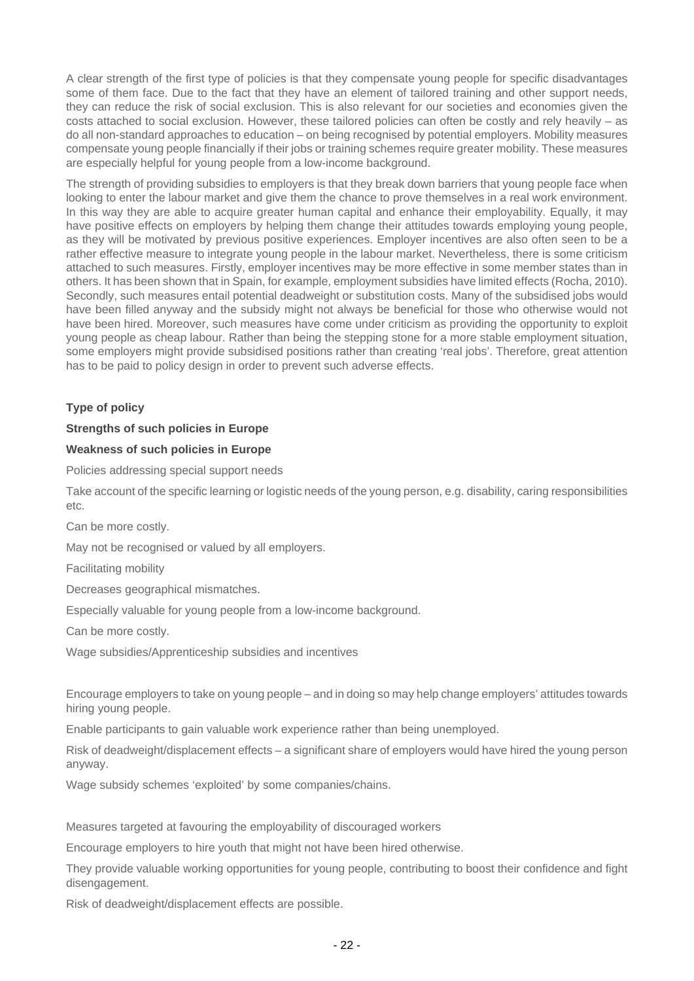A clear strength of the first type of policies is that they compensate young people for specific disadvantages some of them face. Due to the fact that they have an element of tailored training and other support needs, they can reduce the risk of social exclusion. This is also relevant for our societies and economies given the costs attached to social exclusion. However, these tailored policies can often be costly and rely heavily – as do all non-standard approaches to education – on being recognised by potential employers. Mobility measures compensate young people financially if their jobs or training schemes require greater mobility. These measures are especially helpful for young people from a low-income background.

The strength of providing subsidies to employers is that they break down barriers that young people face when looking to enter the labour market and give them the chance to prove themselves in a real work environment. In this way they are able to acquire greater human capital and enhance their employability. Equally, it may have positive effects on employers by helping them change their attitudes towards employing young people, as they will be motivated by previous positive experiences. Employer incentives are also often seen to be a rather effective measure to integrate young people in the labour market. Nevertheless, there is some criticism attached to such measures. Firstly, employer incentives may be more effective in some member states than in others. It has been shown that in Spain, for example, employment subsidies have limited effects (Rocha, 2010). Secondly, such measures entail potential deadweight or substitution costs. Many of the subsidised jobs would have been filled anyway and the subsidy might not always be beneficial for those who otherwise would not have been hired. Moreover, such measures have come under criticism as providing the opportunity to exploit young people as cheap labour. Rather than being the stepping stone for a more stable employment situation, some employers might provide subsidised positions rather than creating 'real jobs'. Therefore, great attention has to be paid to policy design in order to prevent such adverse effects.

# **Type of policy**

#### **Strengths of such policies in Europe**

#### **Weakness of such policies in Europe**

Policies addressing special support needs

Take account of the specific learning or logistic needs of the young person, e.g. disability, caring responsibilities etc.

Can be more costly.

May not be recognised or valued by all employers.

Facilitating mobility

Decreases geographical mismatches.

Especially valuable for young people from a low-income background.

Can be more costly.

Wage subsidies/Apprenticeship subsidies and incentives

Encourage employers to take on young people – and in doing so may help change employers' attitudes towards hiring young people.

Enable participants to gain valuable work experience rather than being unemployed.

Risk of deadweight/displacement effects – a significant share of employers would have hired the young person anyway.

Wage subsidy schemes 'exploited' by some companies/chains.

Measures targeted at favouring the employability of discouraged workers

Encourage employers to hire youth that might not have been hired otherwise.

They provide valuable working opportunities for young people, contributing to boost their confidence and fight disengagement.

Risk of deadweight/displacement effects are possible.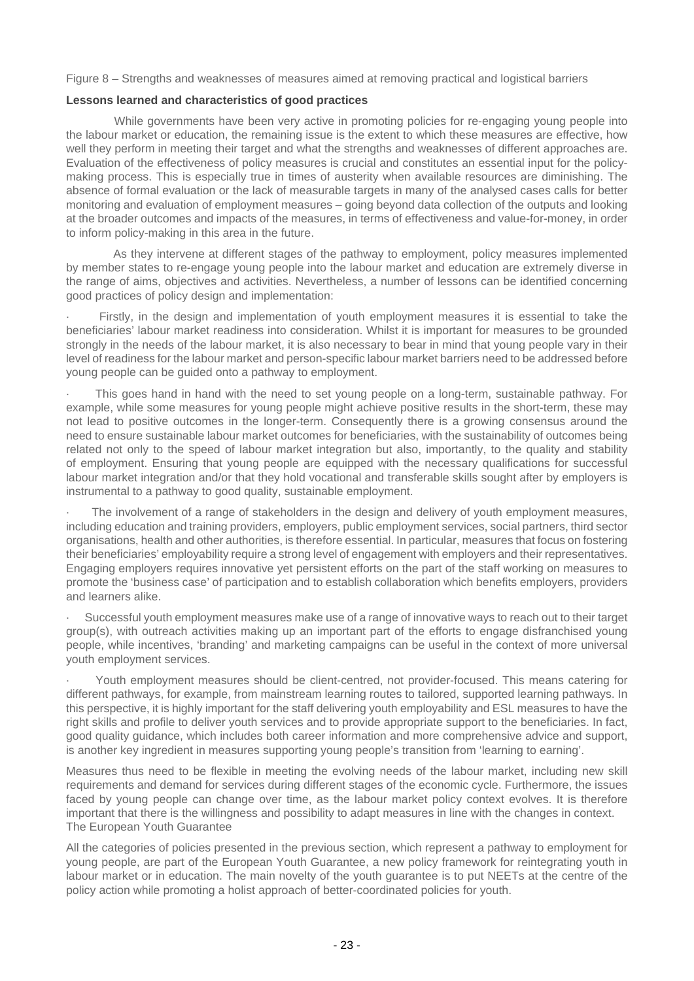Figure 8 – Strengths and weaknesses of measures aimed at removing practical and logistical barriers

#### **Lessons learned and characteristics of good practices**

 While governments have been very active in promoting policies for re-engaging young people into the labour market or education, the remaining issue is the extent to which these measures are effective, how well they perform in meeting their target and what the strengths and weaknesses of different approaches are. Evaluation of the effectiveness of policy measures is crucial and constitutes an essential input for the policymaking process. This is especially true in times of austerity when available resources are diminishing. The absence of formal evaluation or the lack of measurable targets in many of the analysed cases calls for better monitoring and evaluation of employment measures – going beyond data collection of the outputs and looking at the broader outcomes and impacts of the measures, in terms of effectiveness and value-for-money, in order to inform policy-making in this area in the future.

 As they intervene at different stages of the pathway to employment, policy measures implemented by member states to re-engage young people into the labour market and education are extremely diverse in the range of aims, objectives and activities. Nevertheless, a number of lessons can be identified concerning good practices of policy design and implementation:

Firstly, in the design and implementation of youth employment measures it is essential to take the beneficiaries' labour market readiness into consideration. Whilst it is important for measures to be grounded strongly in the needs of the labour market, it is also necessary to bear in mind that young people vary in their level of readiness for the labour market and person-specific labour market barriers need to be addressed before young people can be guided onto a pathway to employment.

This goes hand in hand with the need to set young people on a long-term, sustainable pathway. For example, while some measures for young people might achieve positive results in the short-term, these may not lead to positive outcomes in the longer-term. Consequently there is a growing consensus around the need to ensure sustainable labour market outcomes for beneficiaries, with the sustainability of outcomes being related not only to the speed of labour market integration but also, importantly, to the quality and stability of employment. Ensuring that young people are equipped with the necessary qualifications for successful labour market integration and/or that they hold vocational and transferable skills sought after by employers is instrumental to a pathway to good quality, sustainable employment.

The involvement of a range of stakeholders in the design and delivery of youth employment measures, including education and training providers, employers, public employment services, social partners, third sector organisations, health and other authorities, is therefore essential. In particular, measures that focus on fostering their beneficiaries' employability require a strong level of engagement with employers and their representatives. Engaging employers requires innovative yet persistent efforts on the part of the staff working on measures to promote the 'business case' of participation and to establish collaboration which benefits employers, providers and learners alike.

Successful youth employment measures make use of a range of innovative ways to reach out to their target group(s), with outreach activities making up an important part of the efforts to engage disfranchised young people, while incentives, 'branding' and marketing campaigns can be useful in the context of more universal youth employment services.

· Youth employment measures should be client-centred, not provider-focused. This means catering for different pathways, for example, from mainstream learning routes to tailored, supported learning pathways. In this perspective, it is highly important for the staff delivering youth employability and ESL measures to have the right skills and profile to deliver youth services and to provide appropriate support to the beneficiaries. In fact, good quality guidance, which includes both career information and more comprehensive advice and support, is another key ingredient in measures supporting young people's transition from 'learning to earning'.

Measures thus need to be flexible in meeting the evolving needs of the labour market, including new skill requirements and demand for services during different stages of the economic cycle. Furthermore, the issues faced by young people can change over time, as the labour market policy context evolves. It is therefore important that there is the willingness and possibility to adapt measures in line with the changes in context. The European Youth Guarantee

All the categories of policies presented in the previous section, which represent a pathway to employment for young people, are part of the European Youth Guarantee, a new policy framework for reintegrating youth in labour market or in education. The main novelty of the youth guarantee is to put NEETs at the centre of the policy action while promoting a holist approach of better-coordinated policies for youth.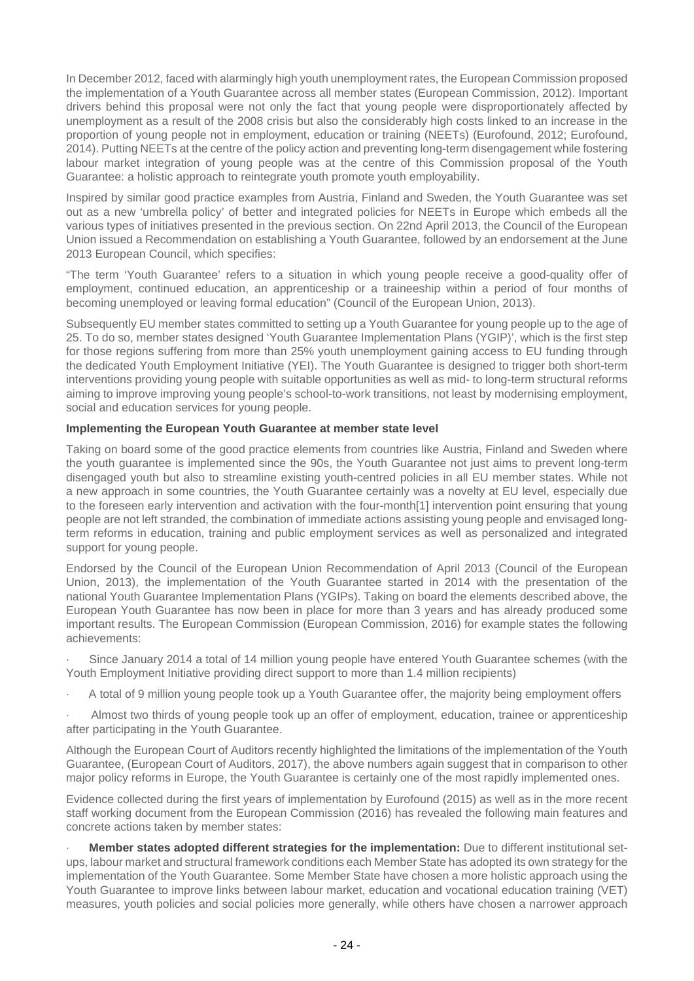In December 2012, faced with alarmingly high youth unemployment rates, the European Commission proposed the implementation of a Youth Guarantee across all member states (European Commission, 2012). Important drivers behind this proposal were not only the fact that young people were disproportionately affected by unemployment as a result of the 2008 crisis but also the considerably high costs linked to an increase in the proportion of young people not in employment, education or training (NEETs) (Eurofound, 2012; Eurofound, 2014). Putting NEETs at the centre of the policy action and preventing long-term disengagement while fostering labour market integration of young people was at the centre of this Commission proposal of the Youth Guarantee: a holistic approach to reintegrate youth promote youth employability.

Inspired by similar good practice examples from Austria, Finland and Sweden, the Youth Guarantee was set out as a new 'umbrella policy' of better and integrated policies for NEETs in Europe which embeds all the various types of initiatives presented in the previous section. On 22nd April 2013, the Council of the European Union issued a Recommendation on establishing a Youth Guarantee, followed by an endorsement at the June 2013 European Council, which specifies:

"The term 'Youth Guarantee' refers to a situation in which young people receive a good-quality offer of employment, continued education, an apprenticeship or a traineeship within a period of four months of becoming unemployed or leaving formal education" (Council of the European Union, 2013).

Subsequently EU member states committed to setting up a Youth Guarantee for young people up to the age of 25. To do so, member states designed 'Youth Guarantee Implementation Plans (YGIP)', which is the first step for those regions suffering from more than 25% youth unemployment gaining access to EU funding through the dedicated Youth Employment Initiative (YEI). The Youth Guarantee is designed to trigger both short-term interventions providing young people with suitable opportunities as well as mid- to long-term structural reforms aiming to improve improving young people's school-to-work transitions, not least by modernising employment, social and education services for young people.

# **Implementing the European Youth Guarantee at member state level**

Taking on board some of the good practice elements from countries like Austria, Finland and Sweden where the youth guarantee is implemented since the 90s, the Youth Guarantee not just aims to prevent long-term disengaged youth but also to streamline existing youth-centred policies in all EU member states. While not a new approach in some countries, the Youth Guarantee certainly was a novelty at EU level, especially due to the foreseen early intervention and activation with the four-month[1] intervention point ensuring that young people are not left stranded, the combination of immediate actions assisting young people and envisaged longterm reforms in education, training and public employment services as well as personalized and integrated support for young people.

Endorsed by the Council of the European Union Recommendation of April 2013 (Council of the European Union, 2013), the implementation of the Youth Guarantee started in 2014 with the presentation of the national Youth Guarantee Implementation Plans (YGIPs). Taking on board the elements described above, the European Youth Guarantee has now been in place for more than 3 years and has already produced some important results. The European Commission (European Commission, 2016) for example states the following achievements:

Since January 2014 a total of 14 million young people have entered Youth Guarantee schemes (with the Youth Employment Initiative providing direct support to more than 1.4 million recipients)

A total of 9 million young people took up a Youth Guarantee offer, the majority being employment offers

Almost two thirds of young people took up an offer of employment, education, trainee or apprenticeship after participating in the Youth Guarantee.

Although the European Court of Auditors recently highlighted the limitations of the implementation of the Youth Guarantee, (European Court of Auditors, 2017), the above numbers again suggest that in comparison to other major policy reforms in Europe, the Youth Guarantee is certainly one of the most rapidly implemented ones.

Evidence collected during the first years of implementation by Eurofound (2015) as well as in the more recent staff working document from the European Commission (2016) has revealed the following main features and concrete actions taken by member states:

· **Member states adopted different strategies for the implementation:** Due to different institutional setups, labour market and structural framework conditions each Member State has adopted its own strategy for the implementation of the Youth Guarantee. Some Member State have chosen a more holistic approach using the Youth Guarantee to improve links between labour market, education and vocational education training (VET) measures, youth policies and social policies more generally, while others have chosen a narrower approach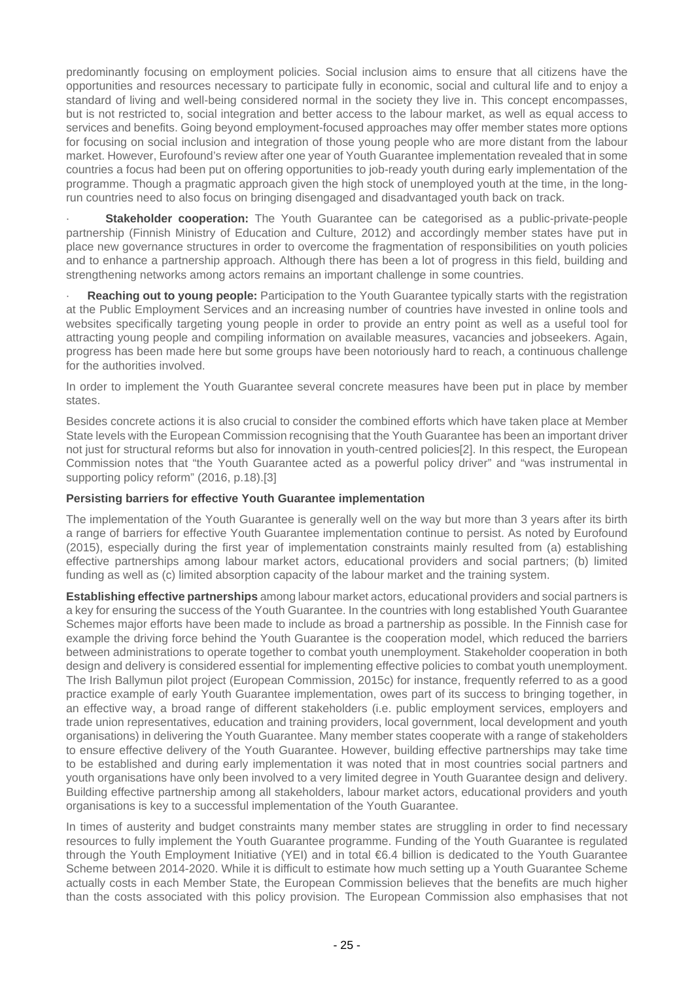predominantly focusing on employment policies. Social inclusion aims to ensure that all citizens have the opportunities and resources necessary to participate fully in economic, social and cultural life and to enjoy a standard of living and well-being considered normal in the society they live in. This concept encompasses, but is not restricted to, social integration and better access to the labour market, as well as equal access to services and benefits. Going beyond employment-focused approaches may offer member states more options for focusing on social inclusion and integration of those young people who are more distant from the labour market. However, Eurofound's review after one year of Youth Guarantee implementation revealed that in some countries a focus had been put on offering opportunities to job-ready youth during early implementation of the programme. Though a pragmatic approach given the high stock of unemployed youth at the time, in the longrun countries need to also focus on bringing disengaged and disadvantaged youth back on track.

**Stakeholder cooperation:** The Youth Guarantee can be categorised as a public-private-people partnership (Finnish Ministry of Education and Culture, 2012) and accordingly member states have put in place new governance structures in order to overcome the fragmentation of responsibilities on youth policies and to enhance a partnership approach. Although there has been a lot of progress in this field, building and strengthening networks among actors remains an important challenge in some countries.

· **Reaching out to young people:** Participation to the Youth Guarantee typically starts with the registration at the Public Employment Services and an increasing number of countries have invested in online tools and websites specifically targeting young people in order to provide an entry point as well as a useful tool for attracting young people and compiling information on available measures, vacancies and jobseekers. Again, progress has been made here but some groups have been notoriously hard to reach, a continuous challenge for the authorities involved.

In order to implement the Youth Guarantee several concrete measures have been put in place by member states.

Besides concrete actions it is also crucial to consider the combined efforts which have taken place at Member State levels with the European Commission recognising that the Youth Guarantee has been an important driver not just for structural reforms but also for innovation in youth-centred policies[2]. In this respect, the European Commission notes that "the Youth Guarantee acted as a powerful policy driver" and "was instrumental in supporting policy reform" (2016, p.18).[3]

#### **Persisting barriers for effective Youth Guarantee implementation**

The implementation of the Youth Guarantee is generally well on the way but more than 3 years after its birth a range of barriers for effective Youth Guarantee implementation continue to persist. As noted by Eurofound (2015), especially during the first year of implementation constraints mainly resulted from (a) establishing effective partnerships among labour market actors, educational providers and social partners; (b) limited funding as well as (c) limited absorption capacity of the labour market and the training system.

**Establishing effective partnerships** among labour market actors, educational providers and social partners is a key for ensuring the success of the Youth Guarantee. In the countries with long established Youth Guarantee Schemes major efforts have been made to include as broad a partnership as possible. In the Finnish case for example the driving force behind the Youth Guarantee is the cooperation model, which reduced the barriers between administrations to operate together to combat youth unemployment. Stakeholder cooperation in both design and delivery is considered essential for implementing effective policies to combat youth unemployment. The Irish Ballymun pilot project (European Commission, 2015c) for instance, frequently referred to as a good practice example of early Youth Guarantee implementation, owes part of its success to bringing together, in an effective way, a broad range of different stakeholders (i.e. public employment services, employers and trade union representatives, education and training providers, local government, local development and youth organisations) in delivering the Youth Guarantee. Many member states cooperate with a range of stakeholders to ensure effective delivery of the Youth Guarantee. However, building effective partnerships may take time to be established and during early implementation it was noted that in most countries social partners and youth organisations have only been involved to a very limited degree in Youth Guarantee design and delivery. Building effective partnership among all stakeholders, labour market actors, educational providers and youth organisations is key to a successful implementation of the Youth Guarantee.

In times of austerity and budget constraints many member states are struggling in order to find necessary resources to fully implement the Youth Guarantee programme. Funding of the Youth Guarantee is regulated through the Youth Employment Initiative (YEI) and in total €6.4 billion is dedicated to the Youth Guarantee Scheme between 2014-2020. While it is difficult to estimate how much setting up a Youth Guarantee Scheme actually costs in each Member State, the European Commission believes that the benefits are much higher than the costs associated with this policy provision. The European Commission also emphasises that not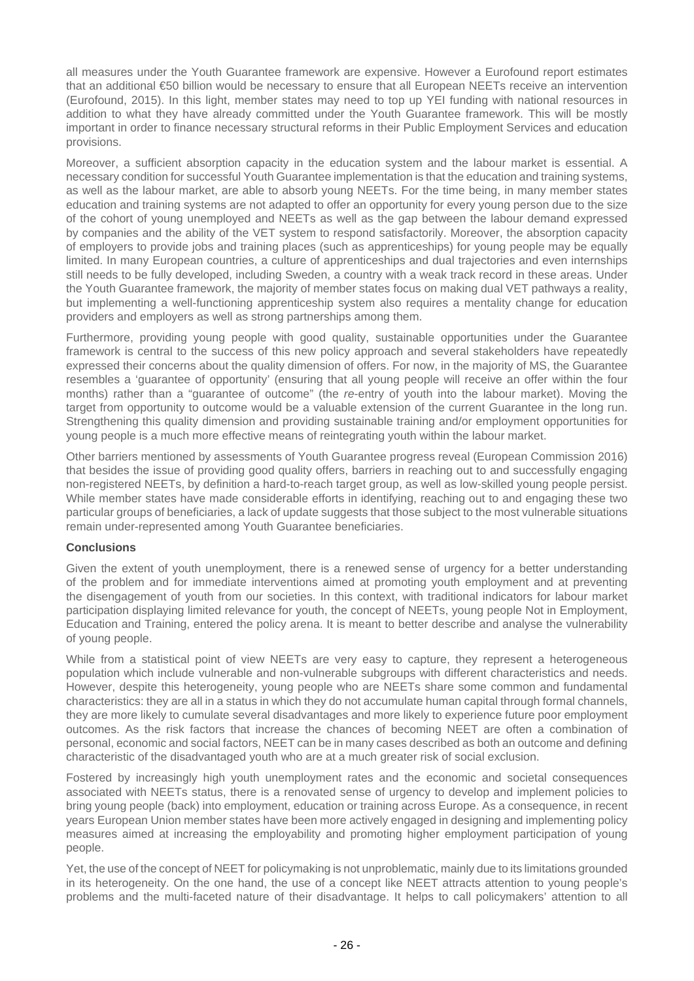all measures under the Youth Guarantee framework are expensive. However a Eurofound report estimates that an additional €50 billion would be necessary to ensure that all European NEETs receive an intervention (Eurofound, 2015). In this light, member states may need to top up YEI funding with national resources in addition to what they have already committed under the Youth Guarantee framework. This will be mostly important in order to finance necessary structural reforms in their Public Employment Services and education provisions.

Moreover, a sufficient absorption capacity in the education system and the labour market is essential. A necessary condition for successful Youth Guarantee implementation is that the education and training systems, as well as the labour market, are able to absorb young NEETs. For the time being, in many member states education and training systems are not adapted to offer an opportunity for every young person due to the size of the cohort of young unemployed and NEETs as well as the gap between the labour demand expressed by companies and the ability of the VET system to respond satisfactorily. Moreover, the absorption capacity of employers to provide jobs and training places (such as apprenticeships) for young people may be equally limited. In many European countries, a culture of apprenticeships and dual trajectories and even internships still needs to be fully developed, including Sweden, a country with a weak track record in these areas. Under the Youth Guarantee framework, the majority of member states focus on making dual VET pathways a reality, but implementing a well-functioning apprenticeship system also requires a mentality change for education providers and employers as well as strong partnerships among them.

Furthermore, providing young people with good quality, sustainable opportunities under the Guarantee framework is central to the success of this new policy approach and several stakeholders have repeatedly expressed their concerns about the quality dimension of offers. For now, in the majority of MS, the Guarantee resembles a 'guarantee of opportunity' (ensuring that all young people will receive an offer within the four months) rather than a "guarantee of outcome" (the re-entry of youth into the labour market). Moving the target from opportunity to outcome would be a valuable extension of the current Guarantee in the long run. Strengthening this quality dimension and providing sustainable training and/or employment opportunities for young people is a much more effective means of reintegrating youth within the labour market.

Other barriers mentioned by assessments of Youth Guarantee progress reveal (European Commission 2016) that besides the issue of providing good quality offers, barriers in reaching out to and successfully engaging non-registered NEETs, by definition a hard-to-reach target group, as well as low-skilled young people persist. While member states have made considerable efforts in identifying, reaching out to and engaging these two particular groups of beneficiaries, a lack of update suggests that those subject to the most vulnerable situations remain under-represented among Youth Guarantee beneficiaries.

#### **Conclusions**

Given the extent of youth unemployment, there is a renewed sense of urgency for a better understanding of the problem and for immediate interventions aimed at promoting youth employment and at preventing the disengagement of youth from our societies. In this context, with traditional indicators for labour market participation displaying limited relevance for youth, the concept of NEETs, young people Not in Employment, Education and Training, entered the policy arena. It is meant to better describe and analyse the vulnerability of young people.

While from a statistical point of view NEETs are very easy to capture, they represent a heterogeneous population which include vulnerable and non-vulnerable subgroups with different characteristics and needs. However, despite this heterogeneity, young people who are NEETs share some common and fundamental characteristics: they are all in a status in which they do not accumulate human capital through formal channels, they are more likely to cumulate several disadvantages and more likely to experience future poor employment outcomes. As the risk factors that increase the chances of becoming NEET are often a combination of personal, economic and social factors, NEET can be in many cases described as both an outcome and defining characteristic of the disadvantaged youth who are at a much greater risk of social exclusion.

Fostered by increasingly high youth unemployment rates and the economic and societal consequences associated with NEETs status, there is a renovated sense of urgency to develop and implement policies to bring young people (back) into employment, education or training across Europe. As a consequence, in recent years European Union member states have been more actively engaged in designing and implementing policy measures aimed at increasing the employability and promoting higher employment participation of young people.

Yet, the use of the concept of NEET for policymaking is not unproblematic, mainly due to its limitations grounded in its heterogeneity. On the one hand, the use of a concept like NEET attracts attention to young people's problems and the multi-faceted nature of their disadvantage. It helps to call policymakers' attention to all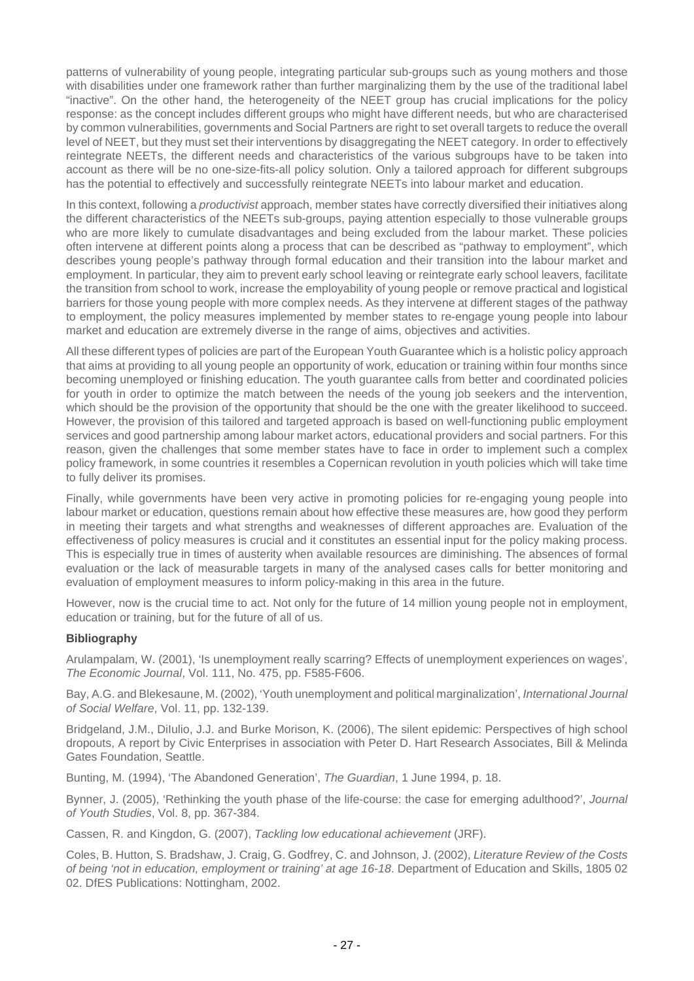patterns of vulnerability of young people, integrating particular sub-groups such as young mothers and those with disabilities under one framework rather than further marginalizing them by the use of the traditional label "inactive". On the other hand, the heterogeneity of the NEET group has crucial implications for the policy response: as the concept includes different groups who might have different needs, but who are characterised by common vulnerabilities, governments and Social Partners are right to set overall targets to reduce the overall level of NEET, but they must set their interventions by disaggregating the NEET category. In order to effectively reintegrate NEETs, the different needs and characteristics of the various subgroups have to be taken into account as there will be no one-size-fits-all policy solution. Only a tailored approach for different subgroups has the potential to effectively and successfully reintegrate NEETs into labour market and education.

In this context, following a *productivist* approach, member states have correctly diversified their initiatives along the different characteristics of the NEETs sub-groups, paying attention especially to those vulnerable groups who are more likely to cumulate disadvantages and being excluded from the labour market. These policies often intervene at different points along a process that can be described as "pathway to employment", which describes young people's pathway through formal education and their transition into the labour market and employment. In particular, they aim to prevent early school leaving or reintegrate early school leavers, facilitate the transition from school to work, increase the employability of young people or remove practical and logistical barriers for those young people with more complex needs. As they intervene at different stages of the pathway to employment, the policy measures implemented by member states to re-engage young people into labour market and education are extremely diverse in the range of aims, objectives and activities.

All these different types of policies are part of the European Youth Guarantee which is a holistic policy approach that aims at providing to all young people an opportunity of work, education or training within four months since becoming unemployed or finishing education. The youth guarantee calls from better and coordinated policies for youth in order to optimize the match between the needs of the young job seekers and the intervention, which should be the provision of the opportunity that should be the one with the greater likelihood to succeed. However, the provision of this tailored and targeted approach is based on well-functioning public employment services and good partnership among labour market actors, educational providers and social partners. For this reason, given the challenges that some member states have to face in order to implement such a complex policy framework, in some countries it resembles a Copernican revolution in youth policies which will take time to fully deliver its promises.

Finally, while governments have been very active in promoting policies for re-engaging young people into labour market or education, questions remain about how effective these measures are, how good they perform in meeting their targets and what strengths and weaknesses of different approaches are. Evaluation of the effectiveness of policy measures is crucial and it constitutes an essential input for the policy making process. This is especially true in times of austerity when available resources are diminishing. The absences of formal evaluation or the lack of measurable targets in many of the analysed cases calls for better monitoring and evaluation of employment measures to inform policy-making in this area in the future.

However, now is the crucial time to act. Not only for the future of 14 million young people not in employment, education or training, but for the future of all of us.

#### **Bibliography**

Arulampalam, W. (2001), 'Is unemployment really scarring? Effects of unemployment experiences on wages', The Economic Journal, Vol. 111, No. 475, pp. F585-F606.

Bay, A.G. and Blekesaune, M. (2002), 'Youth unemployment and political marginalization', International Journal of Social Welfare, Vol. 11, pp. 132-139.

Bridgeland, J.M., DiIulio, J.J. and Burke Morison, K. (2006), The silent epidemic: Perspectives of high school dropouts, A report by Civic Enterprises in association with Peter D. Hart Research Associates, Bill & Melinda Gates Foundation, Seattle.

Bunting, M. (1994), 'The Abandoned Generation', The Guardian, 1 June 1994, p. 18.

Bynner, J. (2005), 'Rethinking the youth phase of the life-course: the case for emerging adulthood?', Journal of Youth Studies, Vol. 8, pp. 367-384.

Cassen, R. and Kingdon, G. (2007), Tackling low educational achievement (JRF).

Coles, B. Hutton, S. Bradshaw, J. Craig, G. Godfrey, C. and Johnson, J. (2002), Literature Review of the Costs of being 'not in education, employment or training' at age 16-18. Department of Education and Skills, 1805 02 02. DfES Publications: Nottingham, 2002.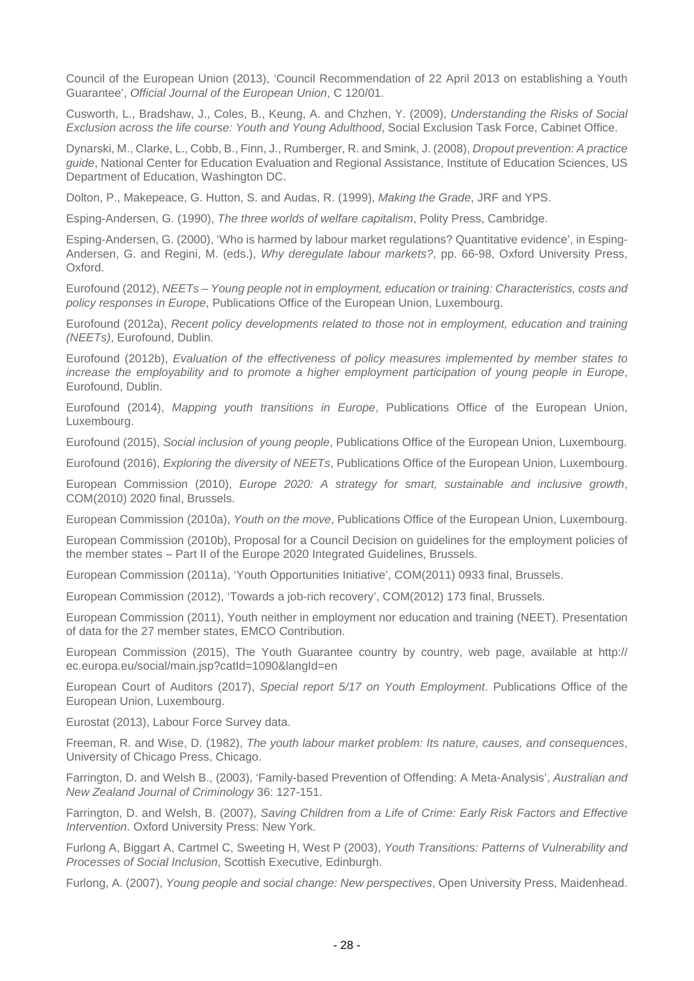Council of the European Union (2013), 'Council Recommendation of 22 April 2013 on establishing a Youth Guarantee', Official Journal of the European Union, C 120/01.

Cusworth, L., Bradshaw, J., Coles, B., Keung, A. and Chzhen, Y. (2009), Understanding the Risks of Social Exclusion across the life course: Youth and Young Adulthood, Social Exclusion Task Force, Cabinet Office.

Dynarski, M., Clarke, L., Cobb, B., Finn, J., Rumberger, R. and Smink, J. (2008), Dropout prevention: A practice guide, National Center for Education Evaluation and Regional Assistance, Institute of Education Sciences, US Department of Education, Washington DC.

Dolton, P., Makepeace, G. Hutton, S. and Audas, R. (1999), Making the Grade, JRF and YPS.

Esping-Andersen, G. (1990), The three worlds of welfare capitalism, Polity Press, Cambridge.

Esping-Andersen, G. (2000), 'Who is harmed by labour market regulations? Quantitative evidence', in Esping-Andersen, G. and Regini, M. (eds.), Why deregulate labour markets?, pp. 66-98, Oxford University Press, Oxford.

Eurofound (2012), NEETs – Young people not in employment, education or training: Characteristics, costs and policy responses in Europe, Publications Office of the European Union, Luxembourg.

Eurofound (2012a), Recent policy developments related to those not in employment, education and training (NEETs), Eurofound, Dublin.

Eurofound (2012b), Evaluation of the effectiveness of policy measures implemented by member states to increase the employability and to promote a higher employment participation of young people in Europe, Eurofound, Dublin.

Eurofound (2014), Mapping youth transitions in Europe, Publications Office of the European Union, Luxembourg.

Eurofound (2015), Social inclusion of young people, Publications Office of the European Union, Luxembourg.

Eurofound (2016), Exploring the diversity of NEETs, Publications Office of the European Union, Luxembourg.

European Commission (2010), Europe 2020: A strategy for smart, sustainable and inclusive growth, COM(2010) 2020 final, Brussels.

European Commission (2010a), Youth on the move, Publications Office of the European Union, Luxembourg.

European Commission (2010b), Proposal for a Council Decision on guidelines for the employment policies of the member states – Part II of the Europe 2020 Integrated Guidelines, Brussels.

European Commission (2011a), 'Youth Opportunities Initiative', COM(2011) 0933 final, Brussels.

European Commission (2012), 'Towards a job-rich recovery', COM(2012) 173 final, Brussels.

European Commission (2011), Youth neither in employment nor education and training (NEET). Presentation of data for the 27 member states, EMCO Contribution.

European Commission (2015), The Youth Guarantee country by country, web page, available at http:// ec.europa.eu/social/main.jsp?catId=1090&langId=en

European Court of Auditors (2017), Special report 5/17 on Youth Employment. Publications Office of the European Union, Luxembourg.

Eurostat (2013), Labour Force Survey data.

Freeman, R. and Wise, D. (1982), The youth labour market problem: Its nature, causes, and consequences, University of Chicago Press, Chicago.

Farrington, D. and Welsh B., (2003), 'Family-based Prevention of Offending: A Meta-Analysis', Australian and New Zealand Journal of Criminology 36: 127-151.

Farrington, D. and Welsh, B. (2007), Saving Children from a Life of Crime: Early Risk Factors and Effective Intervention. Oxford University Press: New York.

Furlong A, Biggart A, Cartmel C, Sweeting H, West P (2003), Youth Transitions: Patterns of Vulnerability and Processes of Social Inclusion, Scottish Executive, Edinburgh.

Furlong, A. (2007), Young people and social change: New perspectives, Open University Press, Maidenhead.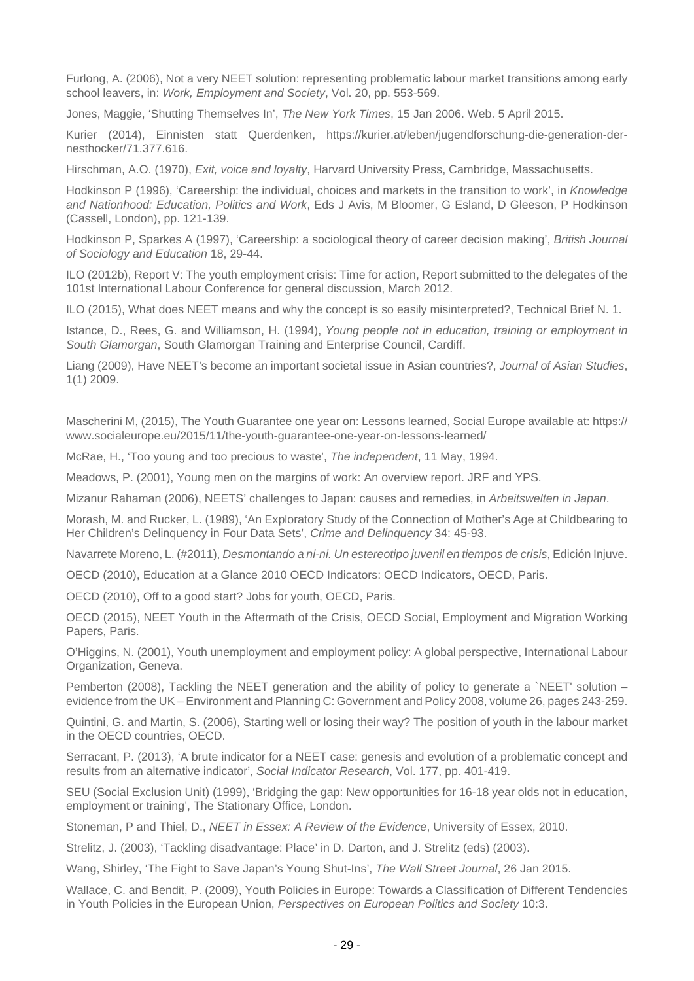Furlong, A. (2006), Not a very NEET solution: representing problematic labour market transitions among early school leavers, in: Work, Employment and Society, Vol. 20, pp. 553-569.

Jones, Maggie, 'Shutting Themselves In', The New York Times, 15 Jan 2006. Web. 5 April 2015.

Kurier (2014), Einnisten statt Querdenken, https://kurier.at/leben/jugendforschung-die-generation-dernesthocker/71.377.616.

Hirschman, A.O. (1970), Exit, voice and loyalty, Harvard University Press, Cambridge, Massachusetts.

Hodkinson P (1996), 'Careership: the individual, choices and markets in the transition to work', in Knowledge and Nationhood: Education, Politics and Work, Eds J Avis, M Bloomer, G Esland, D Gleeson, P Hodkinson (Cassell, London), pp. 121-139.

Hodkinson P, Sparkes A (1997), 'Careership: a sociological theory of career decision making', British Journal of Sociology and Education 18, 29-44.

ILO (2012b), Report V: The youth employment crisis: Time for action, Report submitted to the delegates of the 101st International Labour Conference for general discussion, March 2012.

ILO (2015), What does NEET means and why the concept is so easily misinterpreted?, Technical Brief N. 1.

Istance, D., Rees, G. and Williamson, H. (1994), Young people not in education, training or employment in South Glamorgan, South Glamorgan Training and Enterprise Council, Cardiff.

Liang (2009), Have NEET's become an important societal issue in Asian countries?, Journal of Asian Studies, 1(1) 2009.

Mascherini M, (2015), The Youth Guarantee one year on: Lessons learned, Social Europe available at: https:// www.socialeurope.eu/2015/11/the-youth-guarantee-one-year-on-lessons-learned/

McRae, H., 'Too young and too precious to waste', The independent, 11 May, 1994.

Meadows, P. (2001), Young men on the margins of work: An overview report. JRF and YPS.

Mizanur Rahaman (2006), NEETS' challenges to Japan: causes and remedies, in Arbeitswelten in Japan.

Morash, M. and Rucker, L. (1989), 'An Exploratory Study of the Connection of Mother's Age at Childbearing to Her Children's Delinquency in Four Data Sets', Crime and Delinquency 34: 45-93.

Navarrete Moreno, L. (#2011), Desmontando a ni-ni. Un estereotipo juvenil en tiempos de crisis, Edición Injuve.

OECD (2010), Education at a Glance 2010 OECD Indicators: OECD Indicators, OECD, Paris.

OECD (2010), Off to a good start? Jobs for youth, OECD, Paris.

OECD (2015), NEET Youth in the Aftermath of the Crisis, OECD Social, Employment and Migration Working Papers, Paris.

O'Higgins, N. (2001), Youth unemployment and employment policy: A global perspective, International Labour Organization, Geneva.

Pemberton (2008), Tackling the NEET generation and the ability of policy to generate a `NEET' solution – evidence from the UK – Environment and Planning C: Government and Policy 2008, volume 26, pages 243-259.

Quintini, G. and Martin, S. (2006), Starting well or losing their way? The position of youth in the labour market in the OECD countries, OECD.

Serracant, P. (2013), 'A brute indicator for a NEET case: genesis and evolution of a problematic concept and results from an alternative indicator', Social Indicator Research, Vol. 177, pp. 401-419.

SEU (Social Exclusion Unit) (1999), 'Bridging the gap: New opportunities for 16-18 year olds not in education, employment or training', The Stationary Office, London.

Stoneman, P and Thiel, D., NEET in Essex: A Review of the Evidence, University of Essex, 2010.

Strelitz, J. (2003), 'Tackling disadvantage: Place' in D. Darton, and J. Strelitz (eds) (2003).

Wang, Shirley, 'The Fight to Save Japan's Young Shut-Ins', The Wall Street Journal, 26 Jan 2015.

Wallace, C. and Bendit, P. (2009), Youth Policies in Europe: Towards a Classification of Different Tendencies in Youth Policies in the European Union, Perspectives on European Politics and Society 10:3.